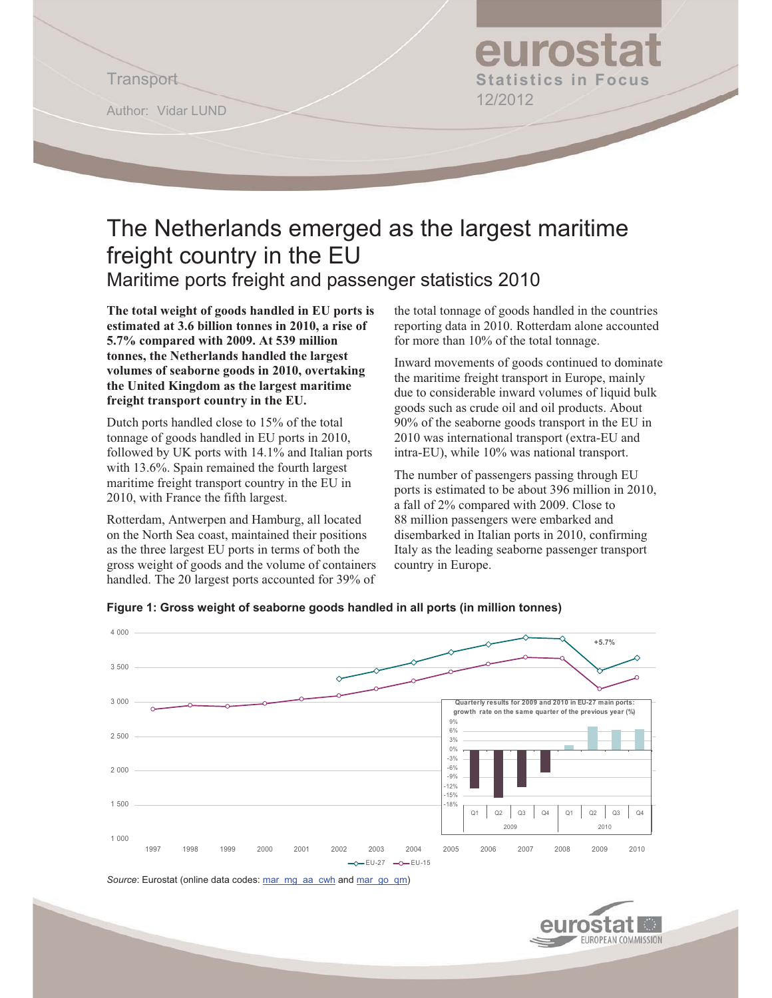Author: Vidar LUND

# euros Transport **Statistics in Focus**  12/2012

## The Netherlands emerged as the largest maritime freight country in the EU Maritime ports freight and passenger statistics 2010

**The total weight of goods handled in EU ports is estimated at 3.6 billion tonnes in 2010, a rise of 5.7% compared with 2009. At 539 million tonnes, the Netherlands handled the largest volumes of seaborne goods in 2010, overtaking the United Kingdom as the largest maritime freight transport country in the EU.** 

Dutch ports handled close to 15% of the total tonnage of goods handled in EU ports in 2010, followed by UK ports with 14.1% and Italian ports with 13.6%. Spain remained the fourth largest maritime freight transport country in the EU in 2010, with France the fifth largest.

Rotterdam, Antwerpen and Hamburg, all located on the North Sea coast, maintained their positions as the three largest EU ports in terms of both the gross weight of goods and the volume of containers handled. The 20 largest ports accounted for 39% of the total tonnage of goods handled in the countries reporting data in 2010. Rotterdam alone accounted for more than 10% of the total tonnage.

Inward movements of goods continued to dominate the maritime freight transport in Europe, mainly due to considerable inward volumes of liquid bulk goods such as crude oil and oil products. About 90% of the seaborne goods transport in the EU in 2010 was international transport (extra-EU and intra-EU), while 10% was national transport.

The number of passengers passing through EU ports is estimated to be about 396 million in 2010, a fall of 2% compared with 2009. Close to 88 million passengers were embarked and disembarked in Italian ports in 2010, confirming Italy as the leading seaborne passenger transport country in Europe.



**Figure 1: Gross weight of seaborne goods handled in all ports (in million tonnes)** 

Source: Eurostat (online data codes: mar\_mg\_aa\_cwh and mar\_go\_qm)

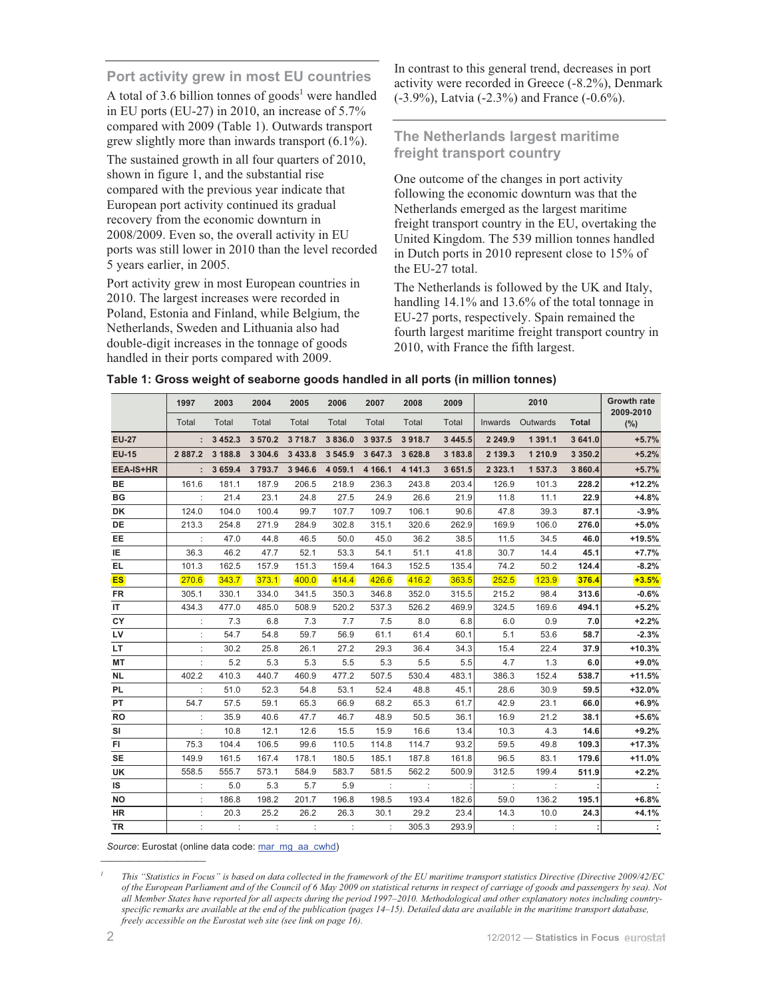## **Port activity grew in most EU countries**

A total of 3.6 billion tonnes of goods<sup>1</sup> were handled in EU ports (EU-27) in 2010, an increase of 5.7% compared with 2009 (Table 1). Outwards transport grew slightly more than inwards transport (6.1%).

The sustained growth in all four quarters of 2010, shown in figure 1, and the substantial rise compared with the previous year indicate that European port activity continued its gradual recovery from the economic downturn in 2008/2009. Even so, the overall activity in EU ports was still lower in 2010 than the level recorded 5 years earlier, in 2005.

Port activity grew in most European countries in 2010. The largest increases were recorded in Poland, Estonia and Finland, while Belgium, the Netherlands, Sweden and Lithuania also had double-digit increases in the tonnage of goods handled in their ports compared with 2009.

In contrast to this general trend, decreases in port activity were recorded in Greece (-8.2%), Denmark (-3.9%), Latvia (-2.3%) and France (-0.6%).

## **The Netherlands largest maritime freight transport country**

One outcome of the changes in port activity following the economic downturn was that the Netherlands emerged as the largest maritime freight transport country in the EU, overtaking the United Kingdom. The 539 million tonnes handled in Dutch ports in 2010 represent close to 15% of the EU-27 total.

The Netherlands is followed by the UK and Italy, handling 14.1% and 13.6% of the total tonnage in EU-27 ports, respectively. Spain remained the fourth largest maritime freight transport country in 2010, with France the fifth largest.

|  | Table 1: Gross weight of seaborne goods handled in all ports (in million tonnes) |  |  |
|--|----------------------------------------------------------------------------------|--|--|
|--|----------------------------------------------------------------------------------|--|--|

|                  | 1997                 | 2003                 | 2004        | 2005                 | 2006                 | 2007     | 2008     | 2009        |                      | 2010             |              | <b>Growth rate</b><br>2009-2010 |
|------------------|----------------------|----------------------|-------------|----------------------|----------------------|----------|----------|-------------|----------------------|------------------|--------------|---------------------------------|
|                  | Total                | Total                | Total       | Total                | Total                | Total    | Total    | Total       |                      | Inwards Outwards | <b>Total</b> | $(\%)$                          |
| <b>EU-27</b>     |                      | : 3452.3             | 3570.2      | 3718.7               | 3836.0               | 3937.5   | 3 9 18.7 | 3 4 4 5 . 5 | 2 2 4 9 . 9          | 1 391.1          | 3 641.0      | $+5.7%$                         |
| <b>EU-15</b>     | 2 8 8 7 . 2          | 3 188.8              | 3 3 0 4 .6  | 3 4 3 3 . 8          | 3 5 4 5 .9           | 3 647.3  | 3 6 28.8 | 3 183.8     | 2 139.3              | 1 210.9          | 3 3 5 0.2    | $+5.2%$                         |
| <b>EEA-IS+HR</b> | $\mathbf{r}$         | 3 6 5 9.4            | 3 7 9 3 . 7 | 3 946.6              | 4 0 5 9.1            | 4 1 66.1 | 4 141.3  | 3 651.5     | 2 3 2 3 . 1          | 1 537.3          | 3 860.4      | $+5.7%$                         |
| BE               | 161.6                | 181.1                | 187.9       | 206.5                | 218.9                | 236.3    | 243.8    | 203.4       | 126.9                | 101.3            | 228.2        | $+12.2%$                        |
| ВG               | $\mathbb{R}^2$       | 21.4                 | 23.1        | 24.8                 | 27.5                 | 24.9     | 26.6     | 21.9        | 11.8                 | 11.1             | 22.9         | $+4.8%$                         |
| DK               | 124.0                | 104.0                | 100.4       | 99.7                 | 107.7                | 109.7    | 106.1    | 90.6        | 47.8                 | 39.3             | 87.1         | $-3.9%$                         |
| <b>DE</b>        | 213.3                | 254.8                | 271.9       | 284.9                | 302.8                | 315.1    | 320.6    | 262.9       | 169.9                | 106.0            | 276.0        | $+5.0%$                         |
| EE               | $\pm$                | 47.0                 | 44.8        | 46.5                 | 50.0                 | 45.0     | 36.2     | 38.5        | 11.5                 | 34.5             | 46.0         | $+19.5%$                        |
| IE.              | 36.3                 | 46.2                 | 47.7        | 52.1                 | 53.3                 | 54.1     | 51.1     | 41.8        | 30.7                 | 14.4             | 45.1         | $+7.7%$                         |
| EL               | 101.3                | 162.5                | 157.9       | 151.3                | 159.4                | 164.3    | 152.5    | 135.4       | 74.2                 | 50.2             | 124.4        | $-8.2%$                         |
| <b>ES</b>        | 270.6                | 343.7                | 373.1       | 400.0                | 414.4                | 426.6    | 416.2    | 363.5       | 252.5                | 123.9            | 376.4        | $+3.5%$                         |
| <b>FR</b>        | 305.1                | 330.1                | 334.0       | 341.5                | 350.3                | 346.8    | 352.0    | 315.5       | 215.2                | 98.4             | 313.6        | $-0.6%$                         |
| IT               | 434.3                | 477.0                | 485.0       | 508.9                | 520.2                | 537.3    | 526.2    | 469.9       | 324.5                | 169.6            | 494.1        | $+5.2%$                         |
| CY               |                      | 7.3                  | 6.8         | 7.3                  | 7.7                  | 7.5      | 8.0      | 6.8         | 6.0                  | 0.9              | 7.0          | $+2.2%$                         |
| <b>LV</b>        |                      | 54.7                 | 54.8        | 59.7                 | 56.9                 | 61.1     | 61.4     | 60.1        | 5.1                  | 53.6             | 58.7         | $-2.3%$                         |
| LT.              |                      | 30.2                 | 25.8        | 26.1                 | 27.2                 | 29.3     | 36.4     | 34.3        | 15.4                 | 22.4             | 37.9         | $+10.3%$                        |
| МT               |                      | 5.2                  | 5.3         | 5.3                  | 5.5                  | 5.3      | 5.5      | 5.5         | 4.7                  | 1.3              | 6.0          | $+9.0%$                         |
| <b>NL</b>        | 402.2                | 410.3                | 440.7       | 460.9                | 477.2                | 507.5    | 530.4    | 483.1       | 386.3                | 152.4            | 538.7        | $+11.5%$                        |
| PL               | $\ddot{\phantom{a}}$ | 51.0                 | 52.3        | 54.8                 | 53.1                 | 52.4     | 48.8     | 45.1        | 28.6                 | 30.9             | 59.5         | $+32.0%$                        |
| PT               | 54.7                 | 57.5                 | 59.1        | 65.3                 | 66.9                 | 68.2     | 65.3     | 61.7        | 42.9                 | 23.1             | 66.0         | $+6.9%$                         |
| RO               | $\ddot{\phantom{a}}$ | 35.9                 | 40.6        | 47.7                 | 46.7                 | 48.9     | 50.5     | 36.1        | 16.9                 | 21.2             | 38.1         | $+5.6%$                         |
| SI               | $\ddot{\phantom{a}}$ | 10.8                 | 12.1        | 12.6                 | 15.5                 | 15.9     | 16.6     | 13.4        | 10.3                 | 4.3              | 14.6         | $+9.2%$                         |
| FL.              | 75.3                 | 104.4                | 106.5       | 99.6                 | 110.5                | 114.8    | 114.7    | 93.2        | 59.5                 | 49.8             | 109.3        | $+17.3%$                        |
| SE               | 149.9                | 161.5                | 167.4       | 178.1                | 180.5                | 185.1    | 187.8    | 161.8       | 96.5                 | 83.1             | 179.6        | $+11.0%$                        |
| UK               | 558.5                | 555.7                | 573.1       | 584.9                | 583.7                | 581.5    | 562.2    | 500.9       | 312.5                | 199.4            | 511.9        | $+2.2%$                         |
| <b>IS</b>        |                      | 5.0                  | 5.3         | 5.7                  | 5.9                  | $\sim$ 1 |          |             |                      |                  |              |                                 |
| <b>NO</b>        |                      | 186.8                | 198.2       | 201.7                | 196.8                | 198.5    | 193.4    | 182.6       | 59.0                 | 136.2            | 195.1        | $+6.8%$                         |
| HR.              |                      | 20.3                 | 25.2        | 26.2                 | 26.3                 | 30.1     | 29.2     | 23.4        | 14.3                 | 10.0             | 24.3         | $+4.1%$                         |
| TR               |                      | $\ddot{\phantom{a}}$ | ÷           | $\ddot{\phantom{a}}$ | $\ddot{\phantom{a}}$ | ÷        | 305.3    | 293.9       | $\ddot{\phantom{a}}$ | ÷                |              |                                 |

Source: Eurostat (online data code: mar\_mg\_aa\_cwhd)

</u>

*<sup>1</sup> This "Statistics in Focus" is based on data collected in the framework of the EU maritime transport statistics Directive (Directive 2009/42/EC of the European Parliament and of the Council of 6 May 2009 on statistical returns in respect of carriage of goods and passengers by sea). Not all Member States have reported for all aspects during the period 1997–2010. Methodological and other explanatory notes including countryspecific remarks are available at the end of the publication (pages 14–15). Detailed data are available in the maritime transport database, freely accessible on the Eurostat web site (see link on page 16).*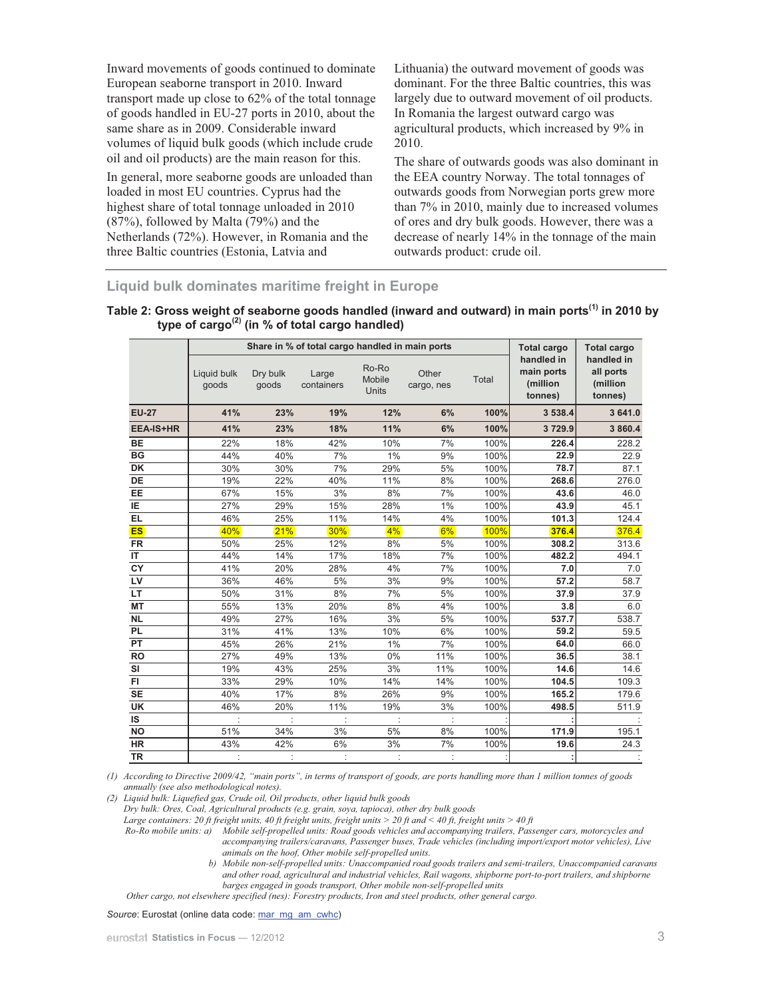Inward movements of goods continued to dominate European seaborne transport in 2010. Inward transport made up close to 62% of the total tonnage of goods handled in EU-27 ports in 2010, about the same share as in 2009. Considerable inward volumes of liquid bulk goods (which include crude oil and oil products) are the main reason for this.

In general, more seaborne goods are unloaded than loaded in most EU countries. Cyprus had the highest share of total tonnage unloaded in 2010 (87%), followed by Malta (79%) and the Netherlands (72%). However, in Romania and the three Baltic countries (Estonia, Latvia and

Lithuania) the outward movement of goods was dominant. For the three Baltic countries, this was largely due to outward movement of oil products. In Romania the largest outward cargo was agricultural products, which increased by 9% in 2010.

The share of outwards goods was also dominant in the EEA country Norway. The total tonnages of outwards goods from Norwegian ports grew more than 7% in 2010, mainly due to increased volumes of ores and dry bulk goods. However, there was a decrease of nearly 14% in the tonnage of the main outwards product: crude oil.

## **Liquid bulk dominates maritime freight in Europe**

| Table 2: Gross weight of seaborne goods handled (inward and outward) in main ports <sup>(1)</sup> in 2010 by |  |
|--------------------------------------------------------------------------------------------------------------|--|
| type of cargo <sup>(2)</sup> (in % of total cargo handled)                                                   |  |

|                  |                      |                   | Share in % of total cargo handled in main ports |                                 |                     |       | <b>Total cargo</b>                              | <b>Total cargo</b>                             |
|------------------|----------------------|-------------------|-------------------------------------------------|---------------------------------|---------------------|-------|-------------------------------------------------|------------------------------------------------|
|                  | Liquid bulk<br>goods | Dry bulk<br>goods | Large<br>containers                             | Ro-Ro<br>Mobile<br><b>Units</b> | Other<br>cargo, nes | Total | handled in<br>main ports<br>(million<br>tonnes) | handled in<br>all ports<br>(million<br>tonnes) |
| <b>EU-27</b>     | 41%                  | 23%               | 19%                                             | 12%                             | 6%                  | 100%  | 3 538.4                                         | 3641.0                                         |
| <b>EEA-IS+HR</b> | 41%                  | 23%               | 18%                                             | 11%                             | 6%                  | 100%  | 3729.9                                          | 3 860.4                                        |
| <b>BE</b>        | 22%                  | 18%               | 42%                                             | 10%                             | 7%                  | 100%  | 226.4                                           | 228.2                                          |
| <b>BG</b>        | 44%                  | 40%               | 7%                                              | 1%                              | 9%                  | 100%  | 22.9                                            | 22.9                                           |
| DK               | 30%                  | 30%               | 7%                                              | 29%                             | 5%                  | 100%  | 78.7                                            | 87.1                                           |
| DE               | 19%                  | 22%               | 40%                                             | 11%                             | 8%                  | 100%  | 268.6                                           | 276.0                                          |
| EE               | 67%                  | 15%               | 3%                                              | 8%                              | 7%                  | 100%  | 43.6                                            | 46.0                                           |
| IE               | 27%                  | 29%               | 15%                                             | 28%                             | 1%                  | 100%  | 43.9                                            | 45.1                                           |
| <b>EL</b>        | 46%                  | 25%               | 11%                                             | 14%                             | 4%                  | 100%  | 101.3                                           | 124.4                                          |
| <b>ES</b>        | 40%                  | 21%               | 30%                                             | 4%                              | 6%                  | 100%  | 376.4                                           | 376.4                                          |
| <b>FR</b>        | 50%                  | 25%               | 12%                                             | 8%                              | 5%                  | 100%  | 308.2                                           | 313.6                                          |
| IT               | 44%                  | 14%               | 17%                                             | 18%                             | 7%                  | 100%  | 482.2                                           | 494.1                                          |
| CY               | 41%                  | 20%               | 28%                                             | 4%                              | 7%                  | 100%  | 7.0                                             | 7.0                                            |
| LV               | 36%                  | 46%               | 5%                                              | 3%                              | 9%                  | 100%  | 57.2                                            | 58.7                                           |
| LT               | 50%                  | 31%               | 8%                                              | 7%                              | 5%                  | 100%  | 37.9                                            | 37.9                                           |
| <b>MT</b>        | 55%                  | 13%               | 20%                                             | 8%                              | 4%                  | 100%  | 3.8                                             | 6.0                                            |
| <b>NL</b>        | 49%                  | 27%               | 16%                                             | 3%                              | 5%                  | 100%  | 537.7                                           | 538.7                                          |
| <b>PL</b>        | 31%                  | 41%               | 13%                                             | 10%                             | 6%                  | 100%  | 59.2                                            | 59.5                                           |
| PT               | 45%                  | 26%               | 21%                                             | 1%                              | 7%                  | 100%  | 64.0                                            | 66.0                                           |
| <b>RO</b>        | 27%                  | 49%               | 13%                                             | 0%                              | 11%                 | 100%  | 36.5                                            | 38.1                                           |
| SI               | 19%                  | 43%               | 25%                                             | 3%                              | 11%                 | 100%  | 14.6                                            | 14.6                                           |
| FI.              | 33%                  | 29%               | 10%                                             | 14%                             | 14%                 | 100%  | 104.5                                           | 109.3                                          |
| <b>SE</b>        | 40%                  | 17%               | 8%                                              | 26%                             | 9%                  | 100%  | 165.2                                           | 179.6                                          |
| <b>UK</b>        | 46%                  | 20%               | 11%                                             | 19%                             | 3%                  | 100%  | 498.5                                           | 511.9                                          |
| IS               |                      | ÷                 |                                                 |                                 |                     |       |                                                 |                                                |
| <b>NO</b>        | 51%                  | 34%               | 3%                                              | 5%                              | 8%                  | 100%  | 171.9                                           | 195.1                                          |
| <b>HR</b>        | 43%                  | 42%               | 6%                                              | 3%                              | 7%                  | 100%  | 19.6                                            | 24.3                                           |
| <b>TR</b>        |                      |                   |                                                 |                                 |                     |       |                                                 |                                                |

*(1) According to Directive 2009/42, "main ports", in terms of transport of goods, are ports handling more than 1 million tonnes of goods annually (see also methodological notes).* 

*(2) Liquid bulk: Liquefied gas, Crude oil, Oil products, other liquid bulk goods* 

*Dry bulk: Ores, Coal, Agricultural products (e.g. grain, soya, tapioca), other dry bulk goods* 

Large containers: 20 ft freight units, 40 ft freight units, freight units > 20 ft and < 40 ft, freight units > 40 ft

*Ro-Ro mobile units: a) Mobile self-propelled units: Road goods vehicles and accompanying trailers, Passenger cars, motorcycles and accompanying trailers/caravans, Passenger buses, Trade vehicles (including import/export motor vehicles), Live animals on the hoof, Other mobile self-propelled units.* 

*b) Mobile non-self-propelled units: Unaccompanied road goods trailers and semi-trailers, Unaccompanied caravans and other road, agricultural and industrial vehicles, Rail wagons, shipborne port-to-port trailers, and shipborne barges engaged in goods transport, Other mobile non-self-propelled units* 

*Other cargo, not elsewhere specified (nes): Forestry products, Iron and steel products, other general cargo.* 

Source: Eurostat (online data code: mar\_mg\_am\_cwhc)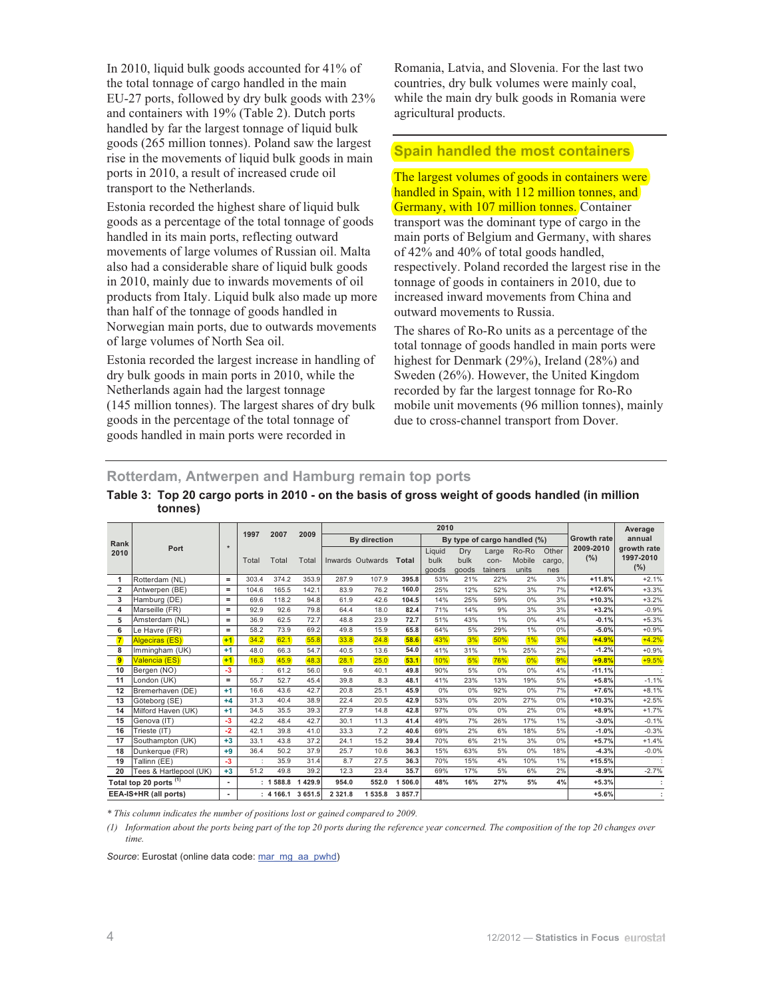In 2010, liquid bulk goods accounted for 41% of the total tonnage of cargo handled in the main EU-27 ports, followed by dry bulk goods with 23% and containers with 19% (Table 2). Dutch ports handled by far the largest tonnage of liquid bulk goods (265 million tonnes). Poland saw the largest rise in the movements of liquid bulk goods in main ports in 2010, a result of increased crude oil transport to the Netherlands.

Estonia recorded the highest share of liquid bulk goods as a percentage of the total tonnage of goods handled in its main ports, reflecting outward movements of large volumes of Russian oil. Malta also had a considerable share of liquid bulk goods in 2010, mainly due to inwards movements of oil products from Italy. Liquid bulk also made up more than half of the tonnage of goods handled in Norwegian main ports, due to outwards movements of large volumes of North Sea oil.

Estonia recorded the largest increase in handling of dry bulk goods in main ports in 2010, while the Netherlands again had the largest tonnage (145 million tonnes). The largest shares of dry bulk goods in the percentage of the total tonnage of goods handled in main ports were recorded in

Romania, Latvia, and Slovenia. For the last two countries, dry bulk volumes were mainly coal, while the main dry bulk goods in Romania were agricultural products.

## **Spain handled the most containers**

The largest volumes of goods in containers were handled in Spain, with 112 million tonnes, and Germany, with 107 million tonnes. Container transport was the dominant type of cargo in the main ports of Belgium and Germany, with shares of 42% and 40% of total goods handled, respectively. Poland recorded the largest rise in the tonnage of goods in containers in 2010, due to increased inward movements from China and outward movements to Russia.

The shares of Ro-Ro units as a percentage of the total tonnage of goods handled in main ports were highest for Denmark (29%), Ireland (28%) and Sweden (26%). However, the United Kingdom recorded by far the largest tonnage for Ro-Ro mobile unit movements (96 million tonnes), mainly due to cross-channel transport from Dover.

**Rotterdam, Antwerpen and Hamburg remain top ports** 

|                |                                   |                   |       |          |            |             |                     |            | 2010                    |                      |                          |                              |                        |                    | Average                         |
|----------------|-----------------------------------|-------------------|-------|----------|------------|-------------|---------------------|------------|-------------------------|----------------------|--------------------------|------------------------------|------------------------|--------------------|---------------------------------|
|                |                                   |                   | 1997  | 2007     | 2009       |             | <b>By direction</b> |            |                         |                      |                          | By type of cargo handled (%) |                        | <b>Growth rate</b> | annual                          |
| Rank<br>2010   | Port                              | $\star$           | Total | Total    | Total      |             | Inwards Outwards    | Total      | Liquid<br>bulk<br>goods | Dry<br>bulk<br>goods | Large<br>con-<br>tainers | Ro-Ro<br>Mobile<br>units     | Other<br>cargo,<br>nes | 2009-2010<br>(%)   | growth rate<br>1997-2010<br>(%) |
| 1              | Rotterdam (NL)                    | $=$               | 303.4 | 374.2    | 353.9      | 287.9       | 107.9               | 395.8      | 53%                     | 21%                  | 22%                      | 2%                           | 3%                     | $+11.8%$           | $+2.1%$                         |
| $\overline{2}$ | Antwerpen (BE)                    | $=$               | 104.6 | 165.5    | 142.1      | 83.9        | 76.2                | 160.0      | 25%                     | 12%                  | 52%                      | 3%                           | 7%                     | $+12.6%$           | $+3.3%$                         |
| 3              | Hamburg (DE)                      | $=$               | 69.6  | 118.2    | 94.8       | 61.9        | 42.6                | 104.5      | 14%                     | 25%                  | 59%                      | 0%                           | 3%                     | $+10.3%$           | $+3.2%$                         |
| 4              | Marseille (FR)                    | $\qquad \qquad =$ | 92.9  | 92.6     | 79.8       | 64.4        | 18.0                | 82.4       | 71%                     | 14%                  | 9%                       | 3%                           | 3%                     | $+3.2%$            | $-0.9%$                         |
| 5              | Amsterdam (NL)                    | $=$               | 36.9  | 62.5     | 72.7       | 48.8        | 23.9                | 72.7       | 51%                     | 43%                  | 1%                       | 0%                           | 4%                     | $-0.1%$            | $+5.3%$                         |
| 6              | Le Havre (FR)                     | $\qquad \qquad =$ | 58.2  | 73.9     | 69.2       | 49.8        | 15.9                | 65.8       | 64%                     | 5%                   | 29%                      | 1%                           | 0%                     | $-5.0%$            | $+0.9%$                         |
| $\mathbf{7}$   | Algeciras (ES)                    | $+1$              | 34.2  | 62.1     | 55.8       | 33.8        | 24.8                | 58.6       | 43%                     | 3%                   | 50%                      | 1%                           | 3%                     | $+4.9%$            | $+4.2%$                         |
| 8              | Immingham (UK)                    | $+1$              | 48.0  | 66.3     | 54.7       | 40.5        | 13.6                | 54.0       | 41%                     | 31%                  | 1%                       | 25%                          | 2%                     | $-1.2%$            | $+0.9%$                         |
| $\overline{9}$ | Valencia (ES)                     | $+1$              | 16.3  | 45.9     | 48.3       | 28.1        | 25.0                | 53.1       | 10%                     | 5%                   | 76%                      | 0%                           | 9%                     | $+9.8%$            | $+9.5%$                         |
| 10             | Bergen (NO)                       | $-3$              |       | 61.2     | 56.0       | 9.6         | 40.1                | 49.8       | 90%                     | 5%                   | 0%                       | 0%                           | 4%                     | $-11.1%$           |                                 |
| 11             | London (UK)                       | $=$               | 55.7  | 52.7     | 45.4       | 39.8        | 8.3                 | 48.1       | 41%                     | 23%                  | 13%                      | 19%                          | 5%                     | $+5.8%$            | $-1.1%$                         |
| 12             | Bremerhaven (DE)                  | $+1$              | 16.6  | 43.6     | 42.7       | 20.8        | 25.1                | 45.9       | 0%                      | 0%                   | 92%                      | 0%                           | 7%                     | $+7.6%$            | $+8.1%$                         |
| 13             | Göteborg (SE)                     | $+4$              | 31.3  | 40.4     | 38.9       | 22.4        | 20.5                | 42.9       | 53%                     | 0%                   | 20%                      | 27%                          | 0%                     | $+10.3%$           | $+2.5%$                         |
| 14             | Milford Haven (UK)                | $+1$              | 34.5  | 35.5     | 39.3       | 27.9        | 14.8                | 42.8       | 97%                     | 0%                   | 0%                       | 2%                           | 0%                     | $+8.9%$            | $+1.7%$                         |
| 15             | Genova (IT)                       | $-3$              | 42.2  | 48.4     | 42.7       | 30.1        | 11.3                | 41.4       | 49%                     | 7%                   | 26%                      | 17%                          | 1%                     | $-3.0%$            | $-0.1%$                         |
| 16             | Trieste (IT)                      | $-2$              | 42.1  | 39.8     | 41.0       | 33.3        | 7.2                 | 40.6       | 69%                     | 2%                   | 6%                       | 18%                          | 5%                     | $-1.0%$            | $-0.3%$                         |
| 17             | Southampton (UK)                  | $+3$              | 33.1  | 43.8     | 37.2       | 24.1        | 15.2                | 39.4       | 70%                     | 6%                   | 21%                      | 3%                           | 0%                     | $+5.7%$            | $+1.4%$                         |
| 18             | Dunkerque (FR)                    | $+9$              | 36.4  | 50.2     | 37.9       | 25.7        | 10.6                | 36.3       | 15%                     | 63%                  | 5%                       | 0%                           | 18%                    | $-4.3%$            | $-0.0%$                         |
| 19             | Tallinn (EE)                      | $-3$              |       | 35.9     | 31.4       | 8.7         | 27.5                | 36.3       | 70%                     | 15%                  | 4%                       | 10%                          | 1%                     | $+15.5%$           |                                 |
| 20             | Tees & Hartlepool (UK)            | $+3$              | 51.2  | 49.8     | 39.2       | 12.3        | 23.4                | 35.7       | 69%                     | 17%                  | 5%                       | 6%                           | 2%                     | $-8.9%$            | $-2.7%$                         |
|                | Total top 20 ports <sup>(1)</sup> | $\blacksquare$    |       | : 1588.8 | 429.9<br>1 | 954.0       | 552.0               | 506.0<br>1 | 48%                     | 16%                  | 27%                      | 5%                           | 4%                     | $+5.3%$            |                                 |
|                | EEA-IS+HR (all ports)             | ٠                 |       | : 4166.1 | 3 651.5    | 2 3 2 1 . 8 | 1535.8              | 3 8 5 7.7  |                         |                      |                          |                              |                        | $+5.6%$            |                                 |

## **Table 3: Top 20 cargo ports in 2010 - on the basis of gross weight of goods handled (in million tonnes)**

*\* This column indicates the number of positions lost or gained compared to 2009.*

*(1) Information about the ports being part of the top 20 ports during the reference year concerned. The composition of the top 20 changes over time.*

Source: Eurostat (online data code: mar\_mg\_aa\_pwhd)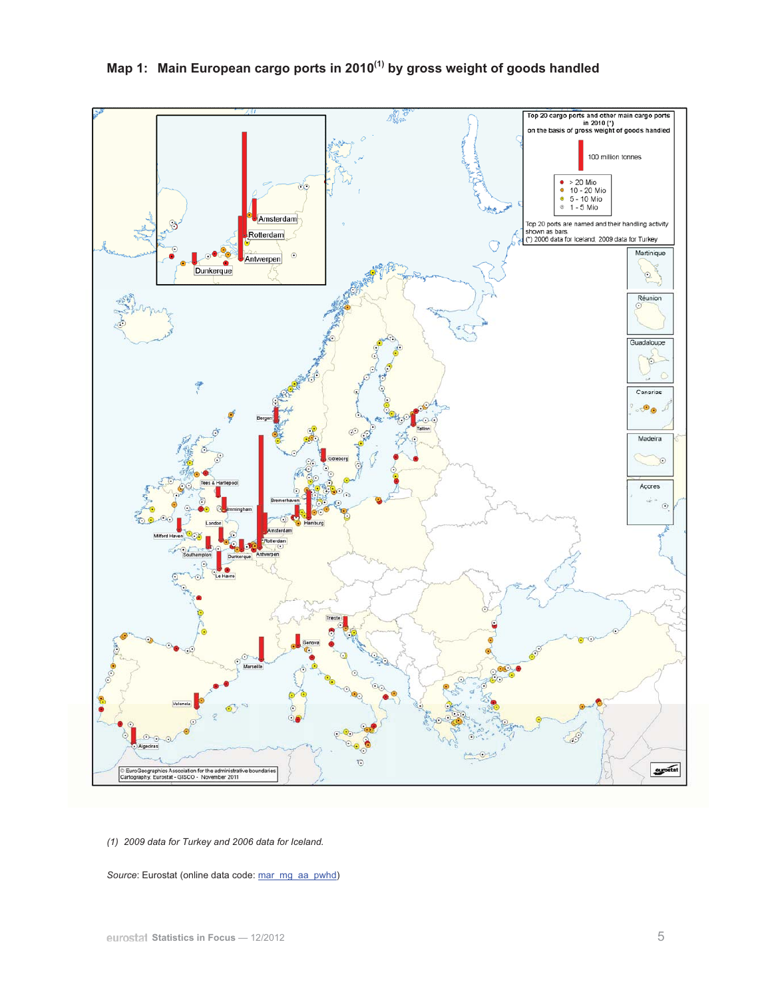

*(1) 2009 data for Turkey and 2006 data for Iceland.* 

Source: Eurostat (online data code: mar\_mg\_aa\_pwhd)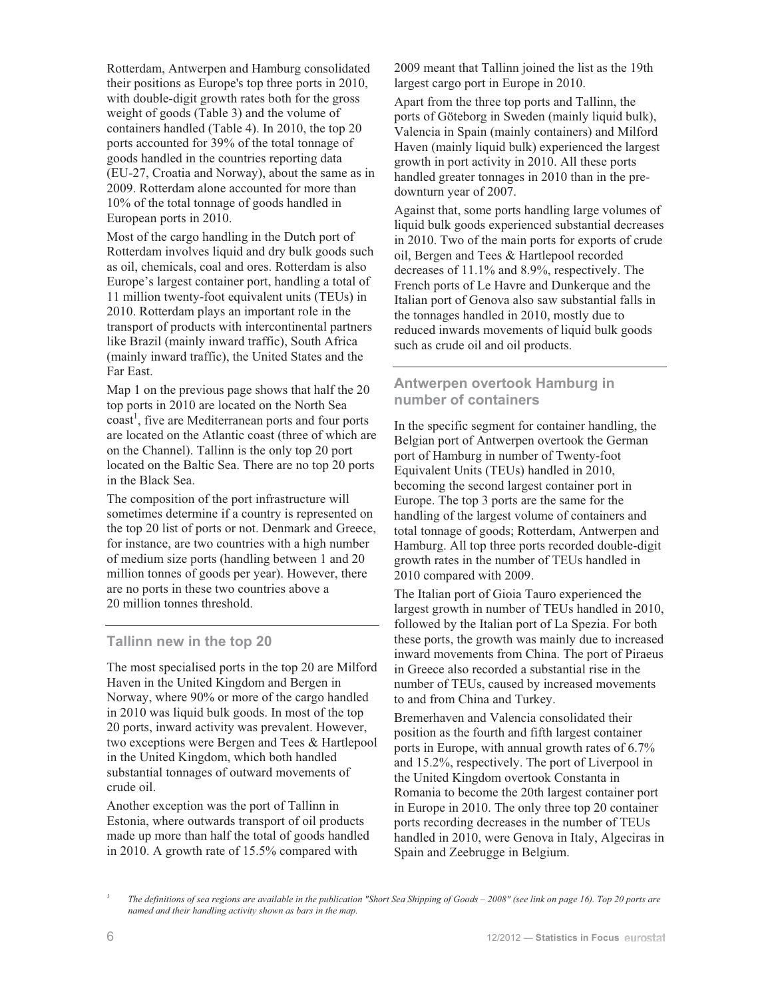Rotterdam, Antwerpen and Hamburg consolidated their positions as Europe's top three ports in 2010, with double-digit growth rates both for the gross weight of goods (Table 3) and the volume of containers handled (Table 4). In 2010, the top 20 ports accounted for 39% of the total tonnage of goods handled in the countries reporting data (EU-27, Croatia and Norway), about the same as in 2009. Rotterdam alone accounted for more than 10% of the total tonnage of goods handled in European ports in 2010.

Most of the cargo handling in the Dutch port of Rotterdam involves liquid and dry bulk goods such as oil, chemicals, coal and ores. Rotterdam is also Europe's largest container port, handling a total of 11 million twenty-foot equivalent units (TEUs) in 2010. Rotterdam plays an important role in the transport of products with intercontinental partners like Brazil (mainly inward traffic), South Africa (mainly inward traffic), the United States and the Far East.

Map 1 on the previous page shows that half the 20 top ports in 2010 are located on the North Sea coast<sup>1</sup>, five are Mediterranean ports and four ports are located on the Atlantic coast (three of which are on the Channel). Tallinn is the only top 20 port located on the Baltic Sea. There are no top 20 ports in the Black Sea.

The composition of the port infrastructure will sometimes determine if a country is represented on the top 20 list of ports or not. Denmark and Greece, for instance, are two countries with a high number of medium size ports (handling between 1 and 20 million tonnes of goods per year). However, there are no ports in these two countries above a 20 million tonnes threshold.

#### **Tallinn new in the top 20**

The most specialised ports in the top 20 are Milford Haven in the United Kingdom and Bergen in Norway, where 90% or more of the cargo handled in 2010 was liquid bulk goods. In most of the top 20 ports, inward activity was prevalent. However, two exceptions were Bergen and Tees & Hartlepool in the United Kingdom, which both handled substantial tonnages of outward movements of crude oil.

Another exception was the port of Tallinn in Estonia, where outwards transport of oil products made up more than half the total of goods handled in 2010. A growth rate of 15.5% compared with

2009 meant that Tallinn joined the list as the 19th largest cargo port in Europe in 2010.

Apart from the three top ports and Tallinn, the ports of Göteborg in Sweden (mainly liquid bulk), Valencia in Spain (mainly containers) and Milford Haven (mainly liquid bulk) experienced the largest growth in port activity in 2010. All these ports handled greater tonnages in 2010 than in the predownturn year of 2007.

Against that, some ports handling large volumes of liquid bulk goods experienced substantial decreases in 2010. Two of the main ports for exports of crude oil, Bergen and Tees & Hartlepool recorded decreases of 11.1% and 8.9%, respectively. The French ports of Le Havre and Dunkerque and the Italian port of Genova also saw substantial falls in the tonnages handled in 2010, mostly due to reduced inwards movements of liquid bulk goods such as crude oil and oil products.

## **Antwerpen overtook Hamburg in number of containers**

In the specific segment for container handling, the Belgian port of Antwerpen overtook the German port of Hamburg in number of Twenty-foot Equivalent Units (TEUs) handled in 2010, becoming the second largest container port in Europe. The top 3 ports are the same for the handling of the largest volume of containers and total tonnage of goods; Rotterdam, Antwerpen and Hamburg. All top three ports recorded double-digit growth rates in the number of TEUs handled in 2010 compared with 2009.

The Italian port of Gioia Tauro experienced the largest growth in number of TEUs handled in 2010, followed by the Italian port of La Spezia. For both these ports, the growth was mainly due to increased inward movements from China. The port of Piraeus in Greece also recorded a substantial rise in the number of TEUs, caused by increased movements to and from China and Turkey.

Bremerhaven and Valencia consolidated their position as the fourth and fifth largest container ports in Europe, with annual growth rates of 6.7% and 15.2%, respectively. The port of Liverpool in the United Kingdom overtook Constanta in Romania to become the 20th largest container port in Europe in 2010. The only three top 20 container ports recording decreases in the number of TEUs handled in 2010, were Genova in Italy, Algeciras in Spain and Zeebrugge in Belgium.

*<sup>1</sup>* The definitions of sea regions are available in the publication "Short Sea Shipping of Goods - 2008" (see link on page 16). Top 20 ports are *named and their handling activity shown as bars in the map.*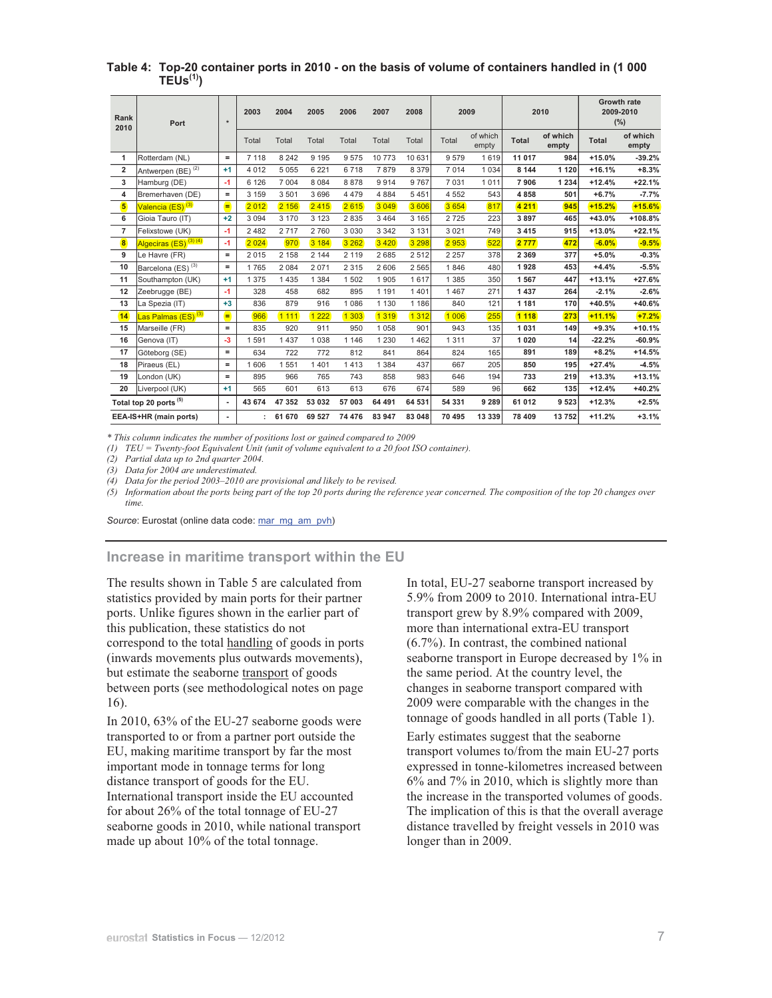| Rank<br>2010   | Port                              | $\star$           | 2003    | 2004    | 2005    | 2006    | 2007    | 2008    | 2009    |                   |              | 2010              | 2009-2010    | <b>Growth rate</b><br>(%) |
|----------------|-----------------------------------|-------------------|---------|---------|---------|---------|---------|---------|---------|-------------------|--------------|-------------------|--------------|---------------------------|
|                |                                   |                   | Total   | Total   | Total   | Total   | Total   | Total   | Total   | of which<br>empty | <b>Total</b> | of which<br>empty | <b>Total</b> | of which<br>empty         |
| $\mathbf{1}$   | Rotterdam (NL)                    | $=$               | 7 1 1 8 | 8 2 4 2 | 9 1 9 5 | 9575    | 10773   | 10 631  | 9579    | 1619              | 11 017       | 984               | $+15.0%$     | $-39.2%$                  |
| $\overline{2}$ | Antwerpen (BE) <sup>(2)</sup>     | $+1$              | 4 0 1 2 | 5 0 5 5 | 6 2 2 1 | 6718    | 7879    | 8 3 7 9 | 7 0 1 4 | 1 0 3 4           | 8 1 4 4      | 1 1 2 0           | $+16.1%$     | $+8.3%$                   |
| 3              | Hamburg (DE)                      | $-1$              | 6 1 2 6 | 7 0 0 4 | 8 0 8 4 | 8878    | 9914    | 9 7 6 7 | 7 0 31  | 1011              | 7906         | 1 2 3 4           | $+12.4%$     | $+22.1%$                  |
| 4              | Bremerhaven (DE)                  | $=$               | 3 1 5 9 | 3501    | 3 6 9 6 | 4 4 7 9 | 4 8 8 4 | 5451    | 4 5 5 2 | 543               | 4858         | 501               | $+6.7%$      | $-7.7%$                   |
| 5              | Valencia (ES) <sup>(3)</sup>      | Ξ                 | 2012    | 2 156   | 2415    | 2615    | 3 0 4 9 | 3 606   | 3 6 5 4 | 817               | 4 2 1 1      | 945               | $+15.2%$     | $+15.6%$                  |
| 6              | Gioia Tauro (IT)                  | $+2$              | 3 0 9 4 | 3 1 7 0 | 3 1 2 3 | 2835    | 3464    | 3 1 6 5 | 2725    | 223               | 3897         | 465               | $+43.0%$     | $+108.8%$                 |
| $\overline{7}$ | Felixstowe (UK)                   | $-1$              | 2 4 8 2 | 2717    | 2760    | 3 0 3 0 | 3 3 4 2 | 3 1 3 1 | 3 0 2 1 | 749               | 3 4 1 5      | 915               | $+13.0%$     | $+22.1%$                  |
| 8              | Algeciras (ES) <sup>(3)(4)</sup>  | $-1$              | 2 0 2 4 | 970     | 3 184   | 3 2 6 2 | 3 4 2 0 | 3 2 9 8 | 2953    | 522               | 2 7 7 7      | 472               | $-6.0%$      | $-9.5%$                   |
| 9              | Le Havre (FR)                     | $=$               | 2015    | 2 1 5 8 | 2 1 4 4 | 2 1 1 9 | 2685    | 2 5 1 2 | 2 2 5 7 | 378               | 2 3 6 9      | 377               | $+5.0%$      | $-0.3%$                   |
| 10             | Barcelona (ES) <sup>(3)</sup>     | $\qquad \qquad =$ | 1765    | 2 0 8 4 | 2 0 7 1 | 2 3 1 5 | 2606    | 2 5 6 5 | 1846    | 480               | 1928         | 453               | $+4.4%$      | $-5.5%$                   |
| 11             | Southampton (UK)                  | $+1$              | 1 3 7 5 | 1435    | 1 3 8 4 | 1502    | 1905    | 1617    | 1 3 8 5 | 350               | 1567         | 447               | $+13.1%$     | $+27.6%$                  |
| 12             | Zeebrugge (BE)                    | $-1$              | 328     | 458     | 682     | 895     | 1 1 9 1 | 1401    | 1467    | 271               | 1 4 3 7      | 264               | $-2.1%$      | $-2.6%$                   |
| 13             | La Spezia (IT)                    | $+3$              | 836     | 879     | 916     | 1 0 8 6 | 1 1 3 0 | 1 1 8 6 | 840     | 121               | 1 1 8 1      | 170               | $+40.5%$     | $+40.6%$                  |
| 14             | Las Palmas (ES) <sup>(3)</sup>    | Ξ                 | 966     | 1 1 1 1 | 1 2 2 2 | 1 303   | 1 3 1 9 | 1 3 1 2 | 1 0 0 6 | 255               | 1 1 1 8      | 273               | $+11.1%$     | $+7.2%$                   |
| 15             | Marseille (FR)                    | $=$               | 835     | 920     | 911     | 950     | 1 0 5 8 | 901     | 943     | 135               | 1 0 3 1      | 149               | $+9.3%$      | $+10.1%$                  |
| 16             | Genova (IT)                       | $-3$              | 1591    | 1437    | 1 0 3 8 | 1 1 4 6 | 1 2 3 0 | 1462    | 1 3 1 1 | 37                | 1 0 2 0      | 14                | $-22.2%$     | $-60.9%$                  |
| 17             | Göteborg (SE)                     | $=$               | 634     | 722     | 772     | 812     | 841     | 864     | 824     | 165               | 891          | 189               | $+8.2%$      | $+14.5%$                  |
| 18             | Piraeus (EL)                      | $=$               | 1606    | 1551    | 1401    | 1413    | 1 3 8 4 | 437     | 667     | 205               | 850          | 195               | $+27.4%$     | $-4.5%$                   |
| 19             | London (UK)                       | $=$               | 895     | 966     | 765     | 743     | 858     | 983     | 646     | 194               | 733          | 219               | $+13.3%$     | $+13.1%$                  |
| 20             | Liverpool (UK)                    | $+1$              | 565     | 601     | 613     | 613     | 676     | 674     | 589     | 96                | 662          | 135               | $+12.4%$     | $+40.2%$                  |
|                | Total top 20 ports <sup>(5)</sup> | $\blacksquare$    | 43 674  | 47 352  | 53 032  | 57 003  | 64 491  | 64 531  | 54 331  | 9 2 8 9           | 61 012       | 9 5 23            | $+12.3%$     | $+2.5%$                   |
|                | EEA-IS+HR (main ports)            | ٠                 |         | 61 670  | 69 527  | 74 476  | 83 947  | 83 048  | 70 495  | 13 3 3 9          | 78 409       | 13752             | $+11.2%$     | $+3.1%$                   |

#### **Table 4: Top-20 container ports in 2010 - on the basis of volume of containers handled in (1 000 TEUs(1))**

*\* This column indicates the number of positions lost or gained compared to 2009*

*(1) TEU = Twenty-foot Equivalent Unit (unit of volume equivalent to a 20 foot ISO container).* 

*(2) Partial data up to 2nd quarter 2004.* 

*(3) Data for 2004 are underestimated.* 

*(4) Data for the period 2003*–*2010 are provisional and likely to be revised.* 

*(5) Information about the ports being part of the top 20 ports during the reference year concerned. The composition of the top 20 changes over time.*

Source: Eurostat (online data code: mar\_mg\_am\_pvh)

#### **Increase in maritime transport within the EU**

The results shown in Table 5 are calculated from statistics provided by main ports for their partner ports. Unlike figures shown in the earlier part of this publication, these statistics do not correspond to the total handling of goods in ports (inwards movements plus outwards movements), but estimate the seaborne transport of goods between ports (see methodological notes on page 16).

In 2010, 63% of the EU-27 seaborne goods were transported to or from a partner port outside the EU, making maritime transport by far the most important mode in tonnage terms for long distance transport of goods for the EU. International transport inside the EU accounted for about 26% of the total tonnage of EU-27 seaborne goods in 2010, while national transport made up about 10% of the total tonnage.

In total, EU-27 seaborne transport increased by 5.9% from 2009 to 2010. International intra-EU transport grew by 8.9% compared with 2009, more than international extra-EU transport (6.7%). In contrast, the combined national seaborne transport in Europe decreased by 1% in the same period. At the country level, the changes in seaborne transport compared with 2009 were comparable with the changes in the tonnage of goods handled in all ports (Table 1).

Early estimates suggest that the seaborne transport volumes to/from the main EU-27 ports expressed in tonne-kilometres increased between 6% and 7% in 2010, which is slightly more than the increase in the transported volumes of goods. The implication of this is that the overall average distance travelled by freight vessels in 2010 was longer than in 2009.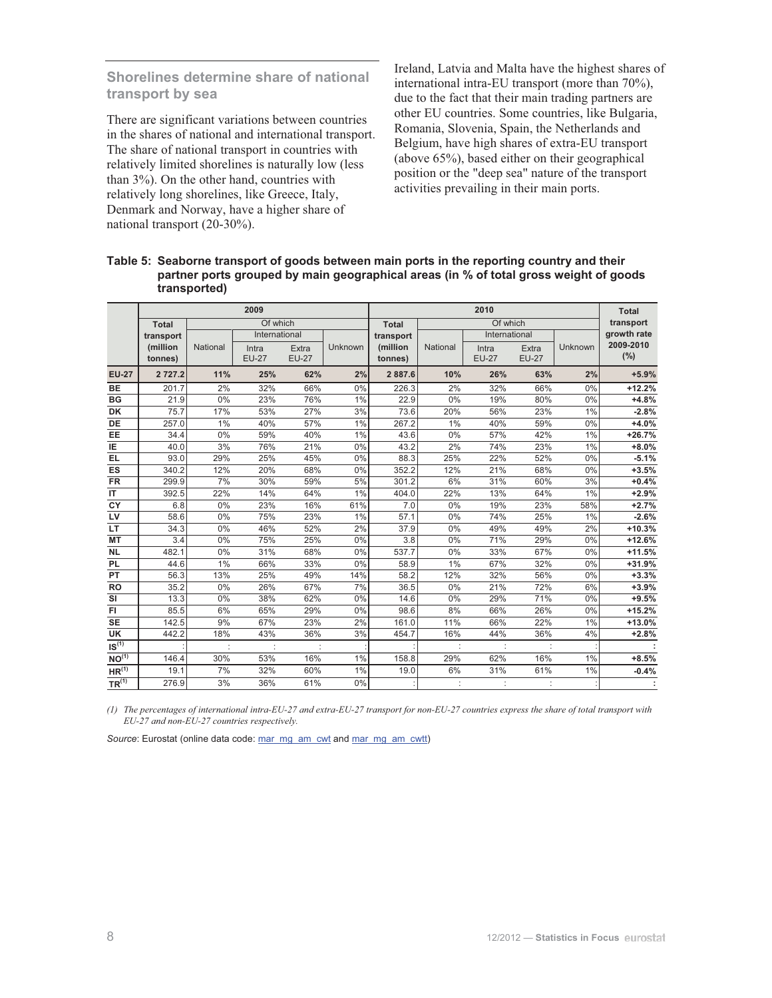## **Shorelines determine share of national transport by sea**

There are significant variations between countries in the shares of national and international transport. The share of national transport in countries with relatively limited shorelines is naturally low (less than 3%). On the other hand, countries with relatively long shorelines, like Greece, Italy, Denmark and Norway, have a higher share of national transport (20-30%).

Ireland, Latvia and Malta have the highest shares of international intra-EU transport (more than 70%), due to the fact that their main trading partners are other EU countries. Some countries, like Bulgaria, Romania, Slovenia, Spain, the Netherlands and Belgium, have high shares of extra-EU transport (above 65%), based either on their geographical position or the "deep sea" nature of the transport activities prevailing in their main ports.

#### **Table 5: Seaborne transport of goods between main ports in the reporting country and their partner ports grouped by main geographical areas (in % of total gross weight of goods transported)**

|                   |              |          | 2009          |              |         |              |          | <b>Total</b>  |              |         |             |
|-------------------|--------------|----------|---------------|--------------|---------|--------------|----------|---------------|--------------|---------|-------------|
|                   | <b>Total</b> |          | Of which      |              |         | <b>Total</b> |          | Of which      |              |         | transport   |
|                   | transport    |          | International |              |         | transport    |          | International |              |         | growth rate |
|                   | (million     | National | Intra         | Extra        | Unknown | (million     | National | Intra         | Extra        | Unknown | 2009-2010   |
|                   | tonnes)      |          | <b>EU-27</b>  | <b>EU-27</b> |         | tonnes)      |          | <b>EU-27</b>  | <b>EU-27</b> |         | (%)         |
| <b>EU-27</b>      | 2 7 2 7.2    | 11%      | 25%           | 62%          | 2%      | 2887.6       | 10%      | 26%           | 63%          | 2%      | $+5.9%$     |
| BE                | 201.7        | 2%       | 32%           | 66%          | 0%      | 226.3        | 2%       | 32%           | 66%          | 0%      | $+12.2%$    |
| <b>BG</b>         | 21.9         | 0%       | 23%           | 76%          | $1\%$   | 22.9         | 0%       | 19%           | 80%          | 0%      | $+4.8%$     |
| <b>DK</b>         | 75.7         | 17%      | 53%           | 27%          | 3%      | 73.6         | 20%      | 56%           | 23%          | 1%      | $-2.8%$     |
| <b>DE</b>         | 257.0        | $1\%$    | 40%           | 57%          | 1%      | 267.2        | $1\%$    | 40%           | 59%          | 0%      | $+4.0%$     |
| <b>EE</b>         | 34.4         | 0%       | 59%           | 40%          | $1\%$   | 43.6         | 0%       | 57%           | 42%          | 1%      | $+26.7%$    |
| IE                | 40.0         | 3%       | 76%           | 21%          | 0%      | 43.2         | 2%       | 74%           | 23%          | 1%      | $+8.0%$     |
| <b>EL</b>         | 93.0         | 29%      | 25%           | 45%          | 0%      | 88.3         | 25%      | 22%           | 52%          | $0\%$   | $-5.1%$     |
| ES                | 340.2        | 12%      | 20%           | 68%          | 0%      | 352.2        | 12%      | 21%           | 68%          | 0%      | $+3.5%$     |
| <b>FR</b>         | 299.9        | 7%       | 30%           | 59%          | 5%      | 301.2        | 6%       | 31%           | 60%          | 3%      | $+0.4%$     |
| IT                | 392.5        | 22%      | 14%           | 64%          | 1%      | 404.0        | 22%      | 13%           | 64%          | 1%      | $+2.9%$     |
| CY                | 6.8          | 0%       | 23%           | 16%          | 61%     | 7.0          | 0%       | 19%           | 23%          | 58%     | $+2.7%$     |
| LV                | 58.6         | 0%       | 75%           | 23%          | 1%      | 57.1         | 0%       | 74%           | 25%          | 1%      | $-2.6%$     |
| <b>LT</b>         | 34.3         | 0%       | 46%           | 52%          | 2%      | 37.9         | 0%       | 49%           | 49%          | 2%      | $+10.3%$    |
| МT                | 3.4          | 0%       | 75%           | 25%          | 0%      | 3.8          | 0%       | 71%           | 29%          | $0\%$   | $+12.6%$    |
| <b>NL</b>         | 482.1        | 0%       | 31%           | 68%          | 0%      | 537.7        | 0%       | 33%           | 67%          | 0%      | $+11.5%$    |
| <b>PL</b>         | 44.6         | 1%       | 66%           | 33%          | 0%      | 58.9         | 1%       | 67%           | 32%          | 0%      | $+31.9%$    |
| PT                | 56.3         | 13%      | 25%           | 49%          | 14%     | 58.2         | 12%      | 32%           | 56%          | $0\%$   | $+3.3%$     |
| <b>RO</b>         | 35.2         | 0%       | 26%           | 67%          | 7%      | 36.5         | 0%       | 21%           | 72%          | 6%      | $+3.9%$     |
| SI                | 13.3         | 0%       | 38%           | 62%          | 0%      | 14.6         | 0%       | 29%           | 71%          | 0%      | $+9.5%$     |
| FI.               | 85.5         | 6%       | 65%           | 29%          | 0%      | 98.6         | 8%       | 66%           | 26%          | 0%      | $+15.2%$    |
| <b>SE</b>         | 142.5        | 9%       | 67%           | 23%          | 2%      | 161.0        | 11%      | 66%           | 22%          | 1%      | $+13.0%$    |
| UK                | 442.2        | 18%      | 43%           | 36%          | 3%      | 454.7        | 16%      | 44%           | 36%          | 4%      | $+2.8%$     |
| IS <sup>(1)</sup> |              |          |               |              |         |              |          |               |              |         |             |
| $NO^{(1)}$        | 146.4        | 30%      | 53%           | 16%          | 1%      | 158.8        | 29%      | 62%           | 16%          | 1%      | $+8.5%$     |
| HR <sup>(1)</sup> | 19.1         | 7%       | 32%           | 60%          | $1\%$   | 19.0         | 6%       | 31%           | 61%          | 1%      | $-0.4%$     |
| TR <sup>(1)</sup> | 276.9        | 3%       | 36%           | 61%          | 0%      |              | ÷        |               |              |         |             |

*(1) The percentages of international intra-EU-27 and extra-EU-27 transport for non-EU-27 countries express the share of total transport with EU-27 and non-EU-27 countries respectively.*

*Source*: Eurostat (online data code: mar\_mg\_am\_cwt and mar\_mg\_am\_cwtt)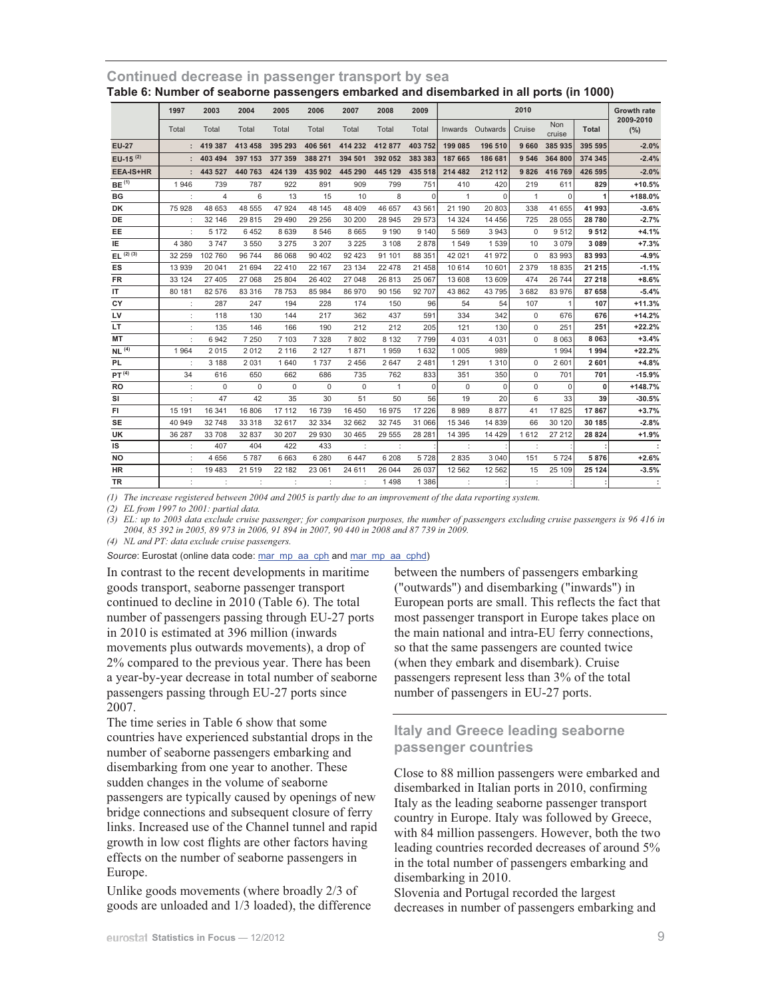|                   | 1997    | 2003           | 2004        | 2005        | 2006        | 2007        | 2008         | 2009     |                      |              | <b>Growth rate</b> |                      |          |                  |
|-------------------|---------|----------------|-------------|-------------|-------------|-------------|--------------|----------|----------------------|--------------|--------------------|----------------------|----------|------------------|
|                   | Total   | Total          | Total       | Total       | Total       | Total       | Total        | Total    | <b>Inwards</b>       | Outwards     | 2010<br>Cruise     | <b>Non</b><br>cruise | Total    | 2009-2010<br>(%) |
| <b>EU-27</b>      |         | 419 387        | 413 458     | 395 293     | 406 561     | 414 232     | 412 877      | 403 752  | 199 085              | 196 510      | 9660               | 385 935              | 395 595  | $-2.0%$          |
| EU-15 $(2)$       |         | 403 494        | 397 153     | 377 359     | 388 271     | 394 501     | 392 052      | 383 383  | 187 665              | 186 681      | 9 5 4 6            | 364 800              | 374 345  | $-2.4%$          |
| <b>EEA-IS+HR</b>  | ÷.      | 443 527        | 440 763     | 424 139     | 435 902     | 445 290     | 445 129      | 435 518  | 214 482              | 212 112      | 9826               | 416 769              | 426 595  | $-2.0%$          |
| BE <sup>(1)</sup> | 1946    | 739            | 787         | 922         | 891         | 909         | 799          | 751      | 410                  | 420          | 219                | 611                  | 829      | $+10.5%$         |
| <b>BG</b>         |         | $\overline{4}$ | 6           | 13          | 15          | 10          | 8            | $\Omega$ | $\mathbf{1}$         | $\mathbf{0}$ | $\mathbf{1}$       | $\Omega$             | 1        | +188.0%          |
| DK                | 75 928  | 48 653         | 48 555      | 47 924      | 48 145      | 48 409      | 46 657       | 43 56    | 21 190               | 20 803       | 338                | 41 655               | 41 993   | $-3.6%$          |
| DE                |         | 32 146         | 29 8 15     | 29 4 9 0    | 29 25 6     | 30 200      | 28 945       | 29 573   | 14 3 24              | 14 4 5 6     | 725                | 28 055               | 28780    | $-2.7%$          |
| EE                |         | 5 1 7 2        | 6452        | 8639        | 8 5 4 6     | 8 6 6 5     | 9 1 9 0      | 9 1 4 0  | 5 5 6 9              | 3943         | $\mathbf 0$        | 9512                 | 9512     | $+4.1%$          |
| IE                | 4 3 8 0 | 3747           | 3 5 5 0     | 3 2 7 5     | 3 2 0 7     | 3 2 2 5     | 3 1 0 8      | 2878     | 1549                 | 1539         | 10                 | 3079                 | 3 0 8 9  | $+7.3%$          |
| $EL^{(2)(3)}$     | 32 259  | 102 760        | 96 744      | 86 068      | 90 40 2     | 92 4 23     | 91 101       | 88 351   | 42 021               | 41 972       | $\mathbf 0$        | 83 993               | 83 993   | $-4.9%$          |
| <b>ES</b>         | 13 939  | 20 041         | 21 694      | 22 4 10     | 22 167      | 23 134      | 22 4 78      | 21 4 58  | 10 614               | 10 601       | 2 3 7 9            | 18 8 35              | 21 215   | $-1.1%$          |
| <b>FR</b>         | 33 124  | 27 405         | 27 068      | 25 804      | 26 402      | 27 048      | 26813        | 25 067   | 13 608               | 13 609       | 474                | 26 744               | 27 218   | $+8.6%$          |
| IT                | 80 181  | 82 576         | 83 316      | 78 753      | 85 984      | 86 970      | 90 156       | 92 707   | 43 862               | 43795        | 3682               | 83 976               | 87 658   | $-5.4%$          |
| CY                |         | 287            | 247         | 194         | 228         | 174         | 150          | 96       | 54                   | 54           | 107                |                      | 107      | $+11.3%$         |
| LV                |         | 118            | 130         | 144         | 217         | 362         | 437          | 591      | 334                  | 342          | $\mathbf 0$        | 676                  | 676      | $+14.2%$         |
| LT.               |         | 135            | 146         | 166         | 190         | 212         | 212          | 205      | 121                  | 130          | $\mathbf 0$        | 251                  | 251      | $+22.2%$         |
| MT                | ÷       | 6942           | 7 2 5 0     | 7 1 0 3     | 7 3 2 8     | 7802        | 8 1 3 2      | 7799     | 4 0 3 1              | 4 0 3 1      | $\Omega$           | 8 0 6 3              | 8 0 6 3  | $+3.4%$          |
| NL <sup>(4)</sup> | 1964    | 2015           | 2012        | 2 1 1 6     | 2 1 2 7     | 1871        | 1959         | 1632     | 1 0 0 5              | 989          |                    | 1994                 | 1994     | $+22.2%$         |
| PL                | ÷       | 3 1 8 8        | 2 0 3 1     | 1640        | 1737        | 2 4 5 6     | 2 6 4 7      | 2 4 8 1  | 1 2 9 1              | 1310         | $\mathbf 0$        | 2 601                | 2601     | $+4.8%$          |
| PT <sup>(4)</sup> | 34      | 616            | 650         | 662         | 686         | 735         | 762          | 833      | 351                  | 350          | $\mathbf 0$        | 701                  | 701      | $-15.9%$         |
| RO                | ÷       | $\Omega$       | $\mathbf 0$ | $\mathbf 0$ | $\mathbf 0$ | $\mathbf 0$ | $\mathbf{1}$ | $\Omega$ | $\mathbf{0}$         | $\mathbf 0$  | $\mathbf 0$        | $\Omega$             | $\bf{0}$ | $+148.7%$        |
| SI                | ÷       | 47             | 42          | 35          | 30          | 51          | 50           | 56       | 19                   | 20           | 6                  | 33                   | 39       | $-30.5%$         |
| FI                | 15 191  | 16 341         | 16 806      | 17 112      | 16739       | 16 450      | 16975        | 17 226   | 8 9 8 9              | 8877         | 41                 | 17825                | 17867    | $+3.7%$          |
| <b>SE</b>         | 40 949  | 32748          | 33 318      | 32 617      | 32 334      | 32 662      | 32745        | 31 066   | 15 346               | 14 839       | 66                 | 30 120               | 30 185   | $-2.8%$          |
| <b>UK</b>         | 36 287  | 33 708         | 32 837      | 30 20 7     | 29 930      | 30 4 65     | 29 5 5 5     | 28 28    | 14 3 9 5             | 14 4 29      | 1612               | 27 212               | 28 8 24  | $+1.9%$          |
| IS                |         | 407            | 404         | 422         | 433         | ÷           |              |          | $\ddot{\phantom{a}}$ |              |                    |                      |          |                  |
| <b>NO</b>         |         | 4 6 5 6        | 5787        | 6663        | 6 2 8 0     | 6447        | 6 208        | 5728     | 2835                 | 3 0 4 0      | 151                | 5724                 | 5876     | $+2.6%$          |
| HR                |         | 19 4 8 3       | 21 519      | 22 182      | 23 061      | 24 611      | 26 044       | 26 037   | 12 5 62              | 12 5 62      | 15                 | 25 109               | 25 1 24  | $-3.5%$          |
| TR                |         | ÷              |             | ÷           |             | ÷           | 1498         | 1 3 8 6  | $\cdot$              |              |                    |                      |          | $\sim$ 1         |

**Continued decrease in passenger transport by sea Table 6: Number of seaborne passengers embarked and disembarked in all ports (in 1000)** 

*(1) The increase registered between 2004 and 2005 is partly due to an improvement of the data reporting system.* 

*(2) EL from 1997 to 2001: partial data.* 

*(3) EL: up to 2003 data exclude cruise passenger; for comparison purposes, the number of passengers excluding cruise passengers is 96 416 in 2004, 85 392 in 2005, 89 973 in 2006, 91 894 in 2007, 90 440 in 2008 and 87 739 in 2009.* 

*(4) NL and PT: data exclude cruise passengers.* 

Source: Eurostat (online data code: mar\_mp\_aa\_cph and mar\_mp\_aa\_cphd)

In contrast to the recent developments in maritime goods transport, seaborne passenger transport continued to decline in 2010 (Table 6). The total number of passengers passing through EU-27 ports in 2010 is estimated at 396 million (inwards movements plus outwards movements), a drop of 2% compared to the previous year. There has been a year-by-year decrease in total number of seaborne passengers passing through EU-27 ports since 2007.

The time series in Table 6 show that some countries have experienced substantial drops in the number of seaborne passengers embarking and disembarking from one year to another. These sudden changes in the volume of seaborne passengers are typically caused by openings of new bridge connections and subsequent closure of ferry links. Increased use of the Channel tunnel and rapid growth in low cost flights are other factors having effects on the number of seaborne passengers in Europe.

Unlike goods movements (where broadly 2/3 of goods are unloaded and 1/3 loaded), the difference between the numbers of passengers embarking ("outwards") and disembarking ("inwards") in European ports are small. This reflects the fact that most passenger transport in Europe takes place on the main national and intra-EU ferry connections, so that the same passengers are counted twice (when they embark and disembark). Cruise passengers represent less than 3% of the total number of passengers in EU-27 ports.

## **Italy and Greece leading seaborne passenger countries**

Close to 88 million passengers were embarked and disembarked in Italian ports in 2010, confirming Italy as the leading seaborne passenger transport country in Europe. Italy was followed by Greece, with 84 million passengers. However, both the two leading countries recorded decreases of around 5% in the total number of passengers embarking and disembarking in 2010.

Slovenia and Portugal recorded the largest decreases in number of passengers embarking and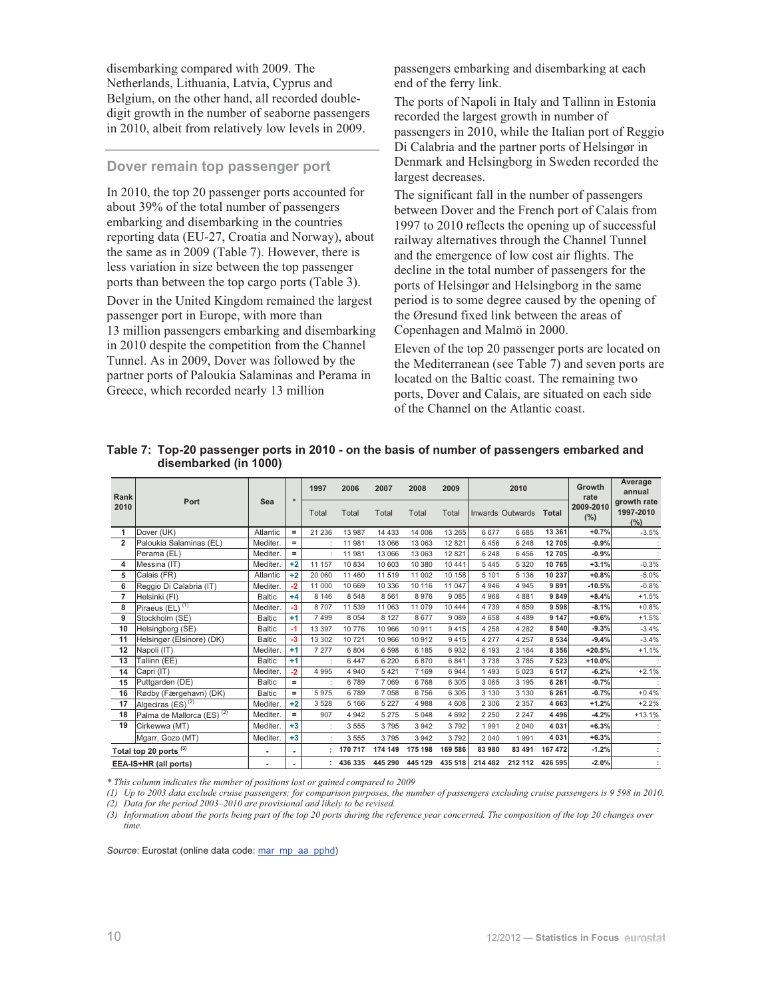disembarking compared with 2009. The Netherlands, Lithuania, Latvia, Cyprus and Belgium, on the other hand, all recorded doubledigit growth in the number of seaborne passengers in 2010, albeit from relatively low levels in 2009.

#### **Dover remain top passenger port**

In 2010, the top 20 passenger ports accounted for about 39% of the total number of passengers embarking and disembarking in the countries reporting data (EU-27, Croatia and Norway), about the same as in 2009 (Table 7). However, there is less variation in size between the top passenger ports than between the top cargo ports (Table 3).

Dover in the United Kingdom remained the largest passenger port in Europe, with more than 13 million passengers embarking and disembarking in 2010 despite the competition from the Channel Tunnel. As in 2009, Dover was followed by the partner ports of Paloukia Salaminas and Perama in Greece, which recorded nearly 13 million

passengers embarking and disembarking at each end of the ferry link.

The ports of Napoli in Italy and Tallinn in Estonia recorded the largest growth in number of passengers in 2010, while the Italian port of Reggio Di Calabria and the partner ports of Helsingør in Denmark and Helsingborg in Sweden recorded the largest decreases.

The significant fall in the number of passengers between Dover and the French port of Calais from 1997 to 2010 reflects the opening up of successful railway alternatives through the Channel Tunnel and the emergence of low cost air flights. The decline in the total number of passengers for the ports of Helsingør and Helsingborg in the same period is to some degree caused by the opening of the Øresund fixed link between the areas of Copenhagen and Malmö in 2000.

Eleven of the top 20 passenger ports are located on the Mediterranean (see Table 7) and seven ports are located on the Baltic coast. The remaining two ports, Dover and Calais, are situated on each side of the Channel on the Atlantic coast.

| Rank           |                                       |               |          | 1997     | 2006    | 2007                    | 2008    | 2009    |         | 2010                   |         | Growth<br>rate       | Average<br>annual               |
|----------------|---------------------------------------|---------------|----------|----------|---------|-------------------------|---------|---------|---------|------------------------|---------|----------------------|---------------------------------|
| 2010           | Port                                  | Sea           | $\star$  | Total    | Total   | Total                   | Total   | Total   |         | Inwards Outwards Total |         | 2009-2010<br>$(\% )$ | growth rate<br>1997-2010<br>(%) |
| 1              | Dover (UK)                            | Atlantic      | $\equiv$ | 21 2 36  | 13 987  | 14 4 3 3                | 14 006  | 13 265  | 6677    | 6 6 8 5                | 13 3 61 | $+0.7%$              | $-3.5%$                         |
| $\overline{2}$ | Paloukia Salaminas (EL)               | Mediter.      | $=$      |          | 11 981  | 13 066                  | 13 063  | 12 8 21 | 6456    | 6 2 4 8                | 12705   | $-0.9%$              |                                 |
|                | Perama (EL)                           | Mediter.      | $=$      |          | 11 981  | 13 066                  | 13 063  | 12 8 21 | 6 2 4 8 | 6456                   | 12705   | $-0.9%$              |                                 |
| 4              | Messina (IT)                          | Mediter.      | $+2$     | 11 157   | 10 834  | 10 603                  | 10 380  | 10 441  | 5 4 4 5 | 5 3 2 0                | 10 765  | $+3.1%$              | $-0.3%$                         |
| 5              | Calais (FR)                           | Atlantic      | $+2$     | 20 060   | 11 460  | 11 5 19                 | 11 002  | 10 158  | 5 101   | 5 1 3 6                | 10 237  | $+0.8%$              | $-5.0\%$                        |
| 6              | Reggio Di Calabria (IT)               | Mediter.      | $-2$     | 11 000   | 10 669  | 10 336                  | 10 116  | 11 047  | 4 9 4 6 | 4 9 4 5                | 9891    | $-10.5%$             | $-0.8%$                         |
| $\overline{7}$ | Helsinki (FI)                         | <b>Baltic</b> | $+4$     | 8 1 4 6  | 8 5 4 8 | 8 5 6 1                 | 8976    | 9085    | 4 9 6 8 | 4 8 8 1                | 9849    | $+8.4%$              | $+1.5%$                         |
| 8              | Piraeus (EL) <sup>(1)</sup>           | Mediter.      | $-3$     | 8707     | 11 539  | 11 063                  | 11 079  | 10 444  | 4739    | 4 8 5 9                | 9 5 9 8 | $-8.1%$              | $+0.8%$                         |
| 9              | Stockholm (SE)                        | <b>Baltic</b> | $+1$     | 7499     | 8 0 5 4 | 8 1 2 7                 | 8677    | 9 0 8 9 | 4658    | 4 4 8 9                | 9 1 4 7 | $+0.6%$              | $+1.5%$                         |
| 10             | Helsingborg (SE)                      | <b>Baltic</b> | -1       | 13 3 9 7 | 10 776  | 10 966                  | 10 911  | 9415    | 4 2 5 8 | 4 2 8 2                | 8 5 4 0 | $-9.3%$              | $-3.4%$                         |
| 11             | Helsingør (Elsinore) (DK)             | <b>Baltic</b> | $-3$     | 13 302   | 10 721  | 10 966                  | 10 912  | 9415    | 4 2 7 7 | 4 2 5 7                | 8 5 3 4 | $-9.4%$              | $-3.4%$                         |
| 12             | Napoli (IT)                           | Mediter.      | $+1$     | 7 2 7 7  | 6 8 0 4 | 6 5 9 8                 | 6 185   | 6932    | 6 1 9 3 | 2 1 6 4                | 8 3 5 6 | $+20.5%$             | $+1.1%$                         |
| 13             | Tallinn (EE)                          | <b>Baltic</b> | $+1$     |          | 6 4 4 7 | 6 2 2 0                 | 6870    | 6841    | 3738    | 3785                   | 7 5 2 3 | $+10.0%$             |                                 |
| 14             | Capri (IT)                            | Mediter.      | $-2$     | 4995     | 4 9 4 0 | 5 4 21                  | 7 1 6 9 | 6944    | 1493    | 5 0 2 3                | 6517    | $-6.2%$              | $+2.1%$                         |
| 15             | Puttgarden (DE)                       | <b>Baltic</b> | Ξ        |          | 6789    | 7 0 6 9                 | 6768    | 6 3 0 5 | 3 0 6 5 | 3 1 9 5                | 6 2 6 1 | $-0.7%$              |                                 |
| 16             | Rødby (Færgehavn) (DK)                | <b>Baltic</b> | Ξ        | 5975     | 6789    | 7 0 5 8                 | 6756    | 6 3 0 5 | 3 1 3 0 | 3 1 3 0                | 6 2 6 1 | $-0.7%$              | $+0.4%$                         |
| 17             | Algeciras (ES) <sup>(2)</sup>         | Mediter.      | $+2$     | 3528     | 5 1 6 6 | 5 2 2 7                 | 4 9 8 8 | 4 608   | 2 3 0 6 | 2 3 5 7                | 4 6 6 3 | $+1.2%$              | $+2.2%$                         |
| 18             | Palma de Mallorca (ES) <sup>(2)</sup> | Mediter.      | Ξ.       | 907      | 4 9 4 2 | 5 2 7 5                 | 5 0 4 8 | 4 6 9 2 | 2 2 5 0 | 2 2 4 7                | 4 4 9 6 | $-4.2%$              | $+13.1%$                        |
| 19             | Cirkewwa (MT)                         | Mediter.      | $+3$     |          | 3 5 5 5 | 3795                    | 3 9 4 2 | 3792    | 1991    | 2 0 4 0                | 4 0 3 1 | $+6.3%$              |                                 |
|                | Mgarr, Gozo (MT)                      | Mediter.      | $+3$     |          | 3 5 5 5 | 3795                    | 3 9 4 2 | 3792    | 2 0 4 0 | 1991                   | 4 0 3 1 | $+6.3%$              |                                 |
|                | Total top 20 ports <sup>(3)</sup>     | ٠             |          |          | 170 717 | 174 149                 | 175 198 | 169 586 | 83 980  | 83 491                 | 167 472 | $-1.2%$              |                                 |
|                | EEA-IS+HR (all ports)                 | ٠             |          |          |         | 436 335 445 290 445 129 |         | 435 518 | 214 482 | 212 112                | 426 595 | $-2.0%$              |                                 |

#### **Table 7: Top-20 passenger ports in 2010 - on the basis of number of passengers embarked and disembarked (in 1000)**

*\* This column indicates the number of positions lost or gained compared to 2009*

*(1) Up to 2003 data exclude cruise passengers; for comparison purposes, the number of passengers excluding cruise passengers is 9 598 in 2010. (2) Data for the period 2003*–*2010 are provisional and likely to be revised.* 

*(3) Information about the ports being part of the top 20 ports during the reference year concerned. The composition of the top 20 changes over time.*

Source: Eurostat (online data code: mar\_mp\_aa\_pphd)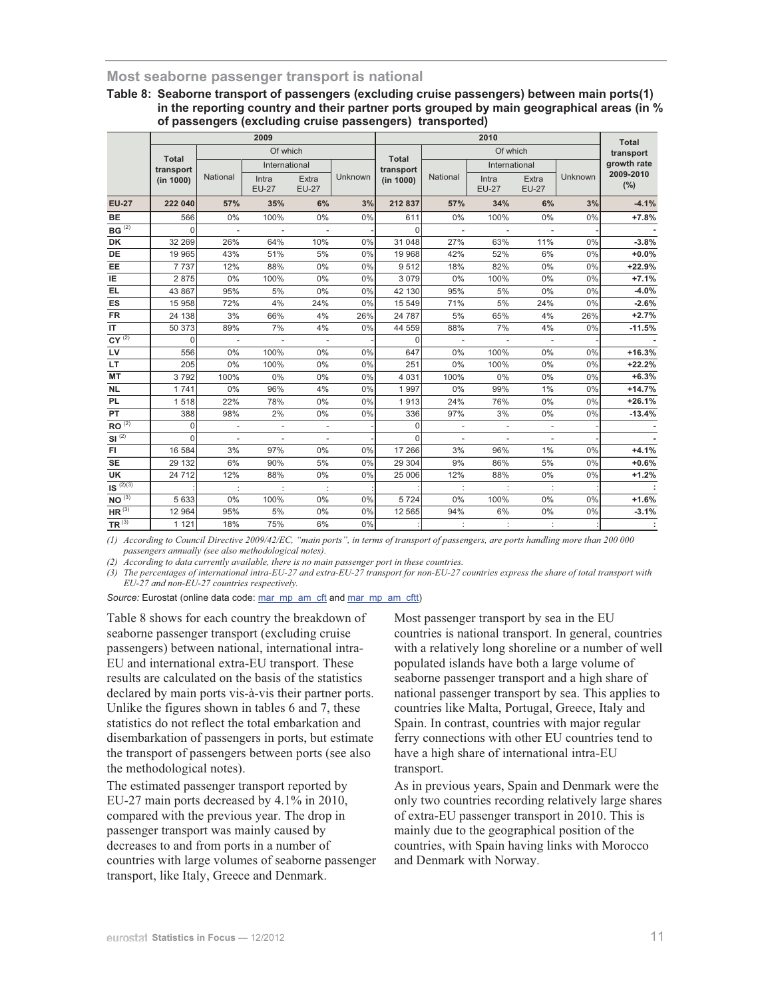### **Most seaborne passenger transport is national**

#### **Table 8: Seaborne transport of passengers (excluding cruise passengers) between main ports(1) in the reporting country and their partner ports grouped by main geographical areas (in % of passengers (excluding cruise passengers) transported)**

|                       |                           |                          | 2009                     |                          |         |                           |                          | <b>Total</b>             |                          |         |                  |
|-----------------------|---------------------------|--------------------------|--------------------------|--------------------------|---------|---------------------------|--------------------------|--------------------------|--------------------------|---------|------------------|
|                       |                           |                          | Of which                 |                          |         |                           |                          | Of which                 |                          |         | transport        |
|                       | <b>Total</b><br>transport |                          | International            |                          |         | <b>Total</b><br>transport |                          | International            |                          |         | growth rate      |
|                       | (in 1000)                 | National                 | Intra<br><b>EU-27</b>    | Extra<br><b>EU-27</b>    | Unknown | (in 1000)                 | National                 | Intra<br><b>EU-27</b>    | Extra<br><b>EU-27</b>    | Unknown | 2009-2010<br>(%) |
| <b>EU-27</b>          | 222 040                   | 57%                      | 35%                      | 6%                       | 3%      | 212837                    | 57%                      | 34%                      | 6%                       | 3%      | $-4.1%$          |
| <b>BE</b>             | 566                       | 0%                       | 100%                     | 0%                       | 0%      | 611                       | $0\%$                    | 100%                     | 0%                       | 0%      | $+7.8%$          |
| $BG^{\overline{(2)}}$ | $\Omega$                  | $\overline{\phantom{a}}$ | $\overline{\phantom{a}}$ | $\overline{\phantom{a}}$ |         | $\Omega$                  | $\overline{\phantom{a}}$ | $\overline{\phantom{a}}$ | $\overline{\phantom{a}}$ |         |                  |
| DK                    | 32 269                    | 26%                      | 64%                      | 10%                      | 0%      | 31 048                    | 27%                      | 63%                      | 11%                      | 0%      | $-3.8%$          |
| DE                    | 19 965                    | 43%                      | 51%                      | 5%                       | 0%      | 19 968                    | 42%                      | 52%                      | 6%                       | 0%      | $+0.0%$          |
| EE                    | 7 7 3 7                   | 12%                      | 88%                      | 0%                       | 0%      | 9512                      | 18%                      | 82%                      | 0%                       | 0%      | $+22.9%$         |
| IE                    | 2875                      | 0%                       | 100%                     | 0%                       | 0%      | 3079                      | 0%                       | 100%                     | 0%                       | 0%      | $+7.1%$          |
| EL.                   | 43 867                    | 95%                      | 5%                       | 0%                       | 0%      | 42 130                    | 95%                      | 5%                       | 0%                       | 0%      | $-4.0%$          |
| ES                    | 15 958                    | 72%                      | 4%                       | 24%                      | 0%      | 15 549                    | 71%                      | 5%                       | 24%                      | 0%      | $-2.6%$          |
| <b>FR</b>             | 24 138                    | 3%                       | 66%                      | 4%                       | 26%     | 24 787                    | 5%                       | 65%                      | 4%                       | 26%     | $+2.7%$          |
| IT                    | 50 373                    | 89%                      | 7%                       | 4%                       | 0%      | 44 559                    | 88%                      | 7%                       | 4%                       | 0%      | $-11.5%$         |
| $CY^{(2)}$            | $\Omega$                  |                          |                          |                          |         | $\Omega$                  |                          |                          |                          |         |                  |
| LV                    | 556                       | 0%                       | 100%                     | 0%                       | 0%      | 647                       | 0%                       | 100%                     | 0%                       | 0%      | $+16.3%$         |
| LT.                   | 205                       | 0%                       | 100%                     | 0%                       | 0%      | 251                       | 0%                       | 100%                     | 0%                       | 0%      | $+22.2%$         |
| <b>MT</b>             | 3792                      | 100%                     | 0%                       | $0\%$                    | 0%      | 4 0 3 1                   | 100%                     | 0%                       | 0%                       | 0%      | $+6.3%$          |
| <b>NL</b>             | 1741                      | 0%                       | 96%                      | 4%                       | 0%      | 1997                      | $0\%$                    | 99%                      | 1%                       | 0%      | $+14.7%$         |
| <b>PL</b>             | 1518                      | 22%                      | 78%                      | 0%                       | 0%      | 1913                      | 24%                      | 76%                      | 0%                       | 0%      | $+26.1%$         |
| PT                    | 388                       | 98%                      | 2%                       | 0%                       | 0%      | 336                       | 97%                      | 3%                       | 0%                       | 0%      | $-13.4%$         |
| $RO^{(2)}$            | $\Omega$                  | $\overline{a}$           |                          | $\frac{1}{2}$            |         | 0                         |                          |                          |                          |         |                  |
| $SI^{(2)}$            | $\Omega$                  | $\overline{\phantom{a}}$ | $\overline{\phantom{a}}$ | $\overline{\phantom{a}}$ |         | $\Omega$                  | $\overline{\phantom{a}}$ | $\overline{\phantom{a}}$ | $\overline{\phantom{a}}$ |         |                  |
| FI.                   | 16 584                    | 3%                       | 97%                      | 0%                       | 0%      | 17 26 6                   | 3%                       | 96%                      | 1%                       | 0%      | $+4.1%$          |
| <b>SE</b>             | 29 132                    | 6%                       | 90%                      | 5%                       | 0%      | 29 304                    | 9%                       | 86%                      | 5%                       | 0%      | $+0.6%$          |
| UK                    | 24 712                    | 12%                      | 88%                      | 0%                       | 0%      | 25 006                    | 12%                      | 88%                      | 0%                       | 0%      | $+1.2%$          |
| $1S^{(2)(3)}$         |                           |                          |                          |                          |         |                           | ÷                        |                          |                          |         |                  |
| $NO^{(3)}$            | 5 6 3 3                   | 0%                       | 100%                     | 0%                       | 0%      | 5724                      | 0%                       | 100%                     | 0%                       | 0%      | $+1.6%$          |
| $HR^{(3)}$            | 12 964                    | 95%                      | 5%                       | 0%                       | 0%      | 12 5 65                   | 94%                      | 6%                       | 0%                       | 0%      | $-3.1%$          |
| $TR^{(3)}$            | 1 1 2 1                   | 18%                      | 75%                      | 6%                       | 0%      |                           |                          | ÷                        | ÷                        |         | ÷                |

*(1) According to Council Directive 2009/42/EC, "main ports", in terms of transport of passengers, are ports handling more than 200 000 passengers annually (see also methodological notes).* 

*(2) According to data currently available, there is no main passenger port in these countries.*

*(3) The percentages of international intra-EU-27 and extra-EU-27 transport for non-EU-27 countries express the share of total transport with EU-27 and non-EU-27 countries respectively.*

Source: Eurostat (online data code: mar\_mp\_am\_cft and mar\_mp\_am\_cftt)

Table 8 shows for each country the breakdown of seaborne passenger transport (excluding cruise passengers) between national, international intra-EU and international extra-EU transport. These results are calculated on the basis of the statistics declared by main ports vis-à-vis their partner ports. Unlike the figures shown in tables 6 and 7, these statistics do not reflect the total embarkation and disembarkation of passengers in ports, but estimate the transport of passengers between ports (see also the methodological notes).

The estimated passenger transport reported by EU-27 main ports decreased by 4.1% in 2010, compared with the previous year. The drop in passenger transport was mainly caused by decreases to and from ports in a number of countries with large volumes of seaborne passenger transport, like Italy, Greece and Denmark.

Most passenger transport by sea in the EU countries is national transport. In general, countries with a relatively long shoreline or a number of well populated islands have both a large volume of seaborne passenger transport and a high share of national passenger transport by sea. This applies to countries like Malta, Portugal, Greece, Italy and Spain. In contrast, countries with major regular ferry connections with other EU countries tend to have a high share of international intra-EU transport.

As in previous years, Spain and Denmark were the only two countries recording relatively large shares of extra-EU passenger transport in 2010. This is mainly due to the geographical position of the countries, with Spain having links with Morocco and Denmark with Norway.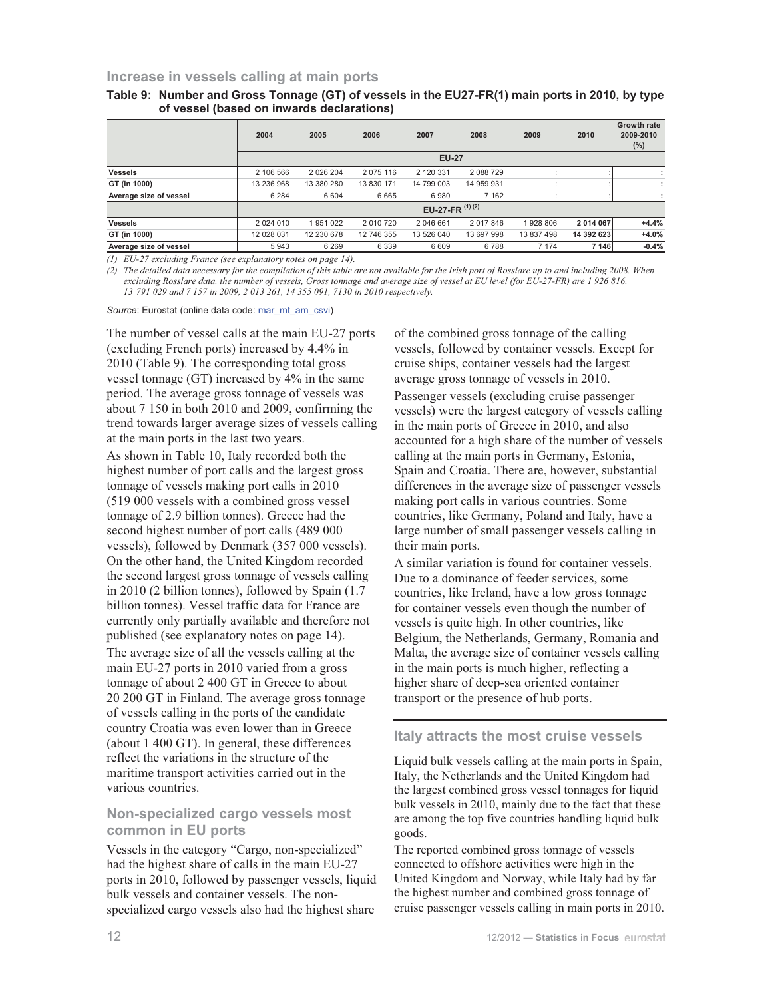#### **Increase in vessels calling at main ports**

| Table 9: Number and Gross Tonnage (GT) of vessels in the EU27-FR(1) main ports in 2010, by type |
|-------------------------------------------------------------------------------------------------|
| of vessel (based on inwards declarations)                                                       |

|                        | 2004       | 2005       | 2006       | 2007              | 2008       | 2009       | 2010       | <b>Growth rate</b><br>2009-2010<br>$(\%)$ |
|------------------------|------------|------------|------------|-------------------|------------|------------|------------|-------------------------------------------|
|                        |            |            |            | <b>EU-27</b>      |            |            |            |                                           |
| <b>Vessels</b>         | 2 106 566  | 2 026 204  | 2 075 116  | 2 120 331         | 2 088 729  |            |            |                                           |
| GT (in 1000)           | 13 236 968 | 13 380 280 | 13 830 171 | 14 799 003        | 14 959 931 |            |            |                                           |
| Average size of vessel | 6 2 8 4    | 6 6 0 4    | 6665       | 6980              | 7 1 6 2    |            |            |                                           |
|                        |            |            |            | EU-27-FR $(1)(2)$ |            |            |            |                                           |
| <b>Vessels</b>         | 2 024 010  | 1951022    | 2 010 720  | 2 046 661         | 2 017 846  | 1928 806   | 2 014 067  | $+4.4%$                                   |
| GT (in 1000)           | 12 028 031 | 12 230 678 | 12 746 355 | 13 526 040        | 13 697 998 | 13 837 498 | 14 392 623 | $+4.0%$                                   |
| Average size of vessel | 5943       | 6 2 6 9    | 6 3 3 9    | 6609              | 6788       | 7 1 7 4    | 7 1 4 6    | $-0.4%$                                   |

*(1) EU-27 excluding France (see explanatory notes on page 14).* 

*(2) The detailed data necessary for the compilation of this table are not available for the Irish port of Rosslare up to and including 2008. When excluding Rosslare data, the number of vessels, Gross tonnage and average size of vessel at EU level (for EU-27-FR) are 1 926 816, 13 791 029 and 7 157 in 2009, 2 013 261, 14 355 091, 7130 in 2010 respectively.* 

Source: Eurostat (online data code: mar\_mt\_am\_csvi)

The number of vessel calls at the main EU-27 ports (excluding French ports) increased by 4.4% in 2010 (Table 9). The corresponding total gross vessel tonnage (GT) increased by 4% in the same period. The average gross tonnage of vessels was about 7 150 in both 2010 and 2009, confirming the trend towards larger average sizes of vessels calling at the main ports in the last two years.

As shown in Table 10, Italy recorded both the highest number of port calls and the largest gross tonnage of vessels making port calls in 2010 (519 000 vessels with a combined gross vessel tonnage of 2.9 billion tonnes). Greece had the second highest number of port calls (489 000 vessels), followed by Denmark (357 000 vessels). On the other hand, the United Kingdom recorded the second largest gross tonnage of vessels calling in 2010 (2 billion tonnes), followed by Spain (1.7 billion tonnes). Vessel traffic data for France are currently only partially available and therefore not published (see explanatory notes on page 14). The average size of all the vessels calling at the main EU-27 ports in 2010 varied from a gross tonnage of about 2 400 GT in Greece to about 20 200 GT in Finland. The average gross tonnage of vessels calling in the ports of the candidate country Croatia was even lower than in Greece (about 1 400 GT). In general, these differences reflect the variations in the structure of the maritime transport activities carried out in the various countries.

## **Non-specialized cargo vessels most common in EU ports**

Vessels in the category "Cargo, non-specialized" had the highest share of calls in the main EU-27 ports in 2010, followed by passenger vessels, liquid bulk vessels and container vessels. The nonspecialized cargo vessels also had the highest share

of the combined gross tonnage of the calling vessels, followed by container vessels. Except for cruise ships, container vessels had the largest average gross tonnage of vessels in 2010. Passenger vessels (excluding cruise passenger vessels) were the largest category of vessels calling in the main ports of Greece in 2010, and also accounted for a high share of the number of vessels calling at the main ports in Germany, Estonia, Spain and Croatia. There are, however, substantial differences in the average size of passenger vessels making port calls in various countries. Some countries, like Germany, Poland and Italy, have a large number of small passenger vessels calling in their main ports.

A similar variation is found for container vessels. Due to a dominance of feeder services, some countries, like Ireland, have a low gross tonnage for container vessels even though the number of vessels is quite high. In other countries, like Belgium, the Netherlands, Germany, Romania and Malta, the average size of container vessels calling in the main ports is much higher, reflecting a higher share of deep-sea oriented container transport or the presence of hub ports.

#### **Italy attracts the most cruise vessels**

Liquid bulk vessels calling at the main ports in Spain, Italy, the Netherlands and the United Kingdom had the largest combined gross vessel tonnages for liquid bulk vessels in 2010, mainly due to the fact that these are among the top five countries handling liquid bulk goods.

The reported combined gross tonnage of vessels connected to offshore activities were high in the United Kingdom and Norway, while Italy had by far the highest number and combined gross tonnage of cruise passenger vessels calling in main ports in 2010.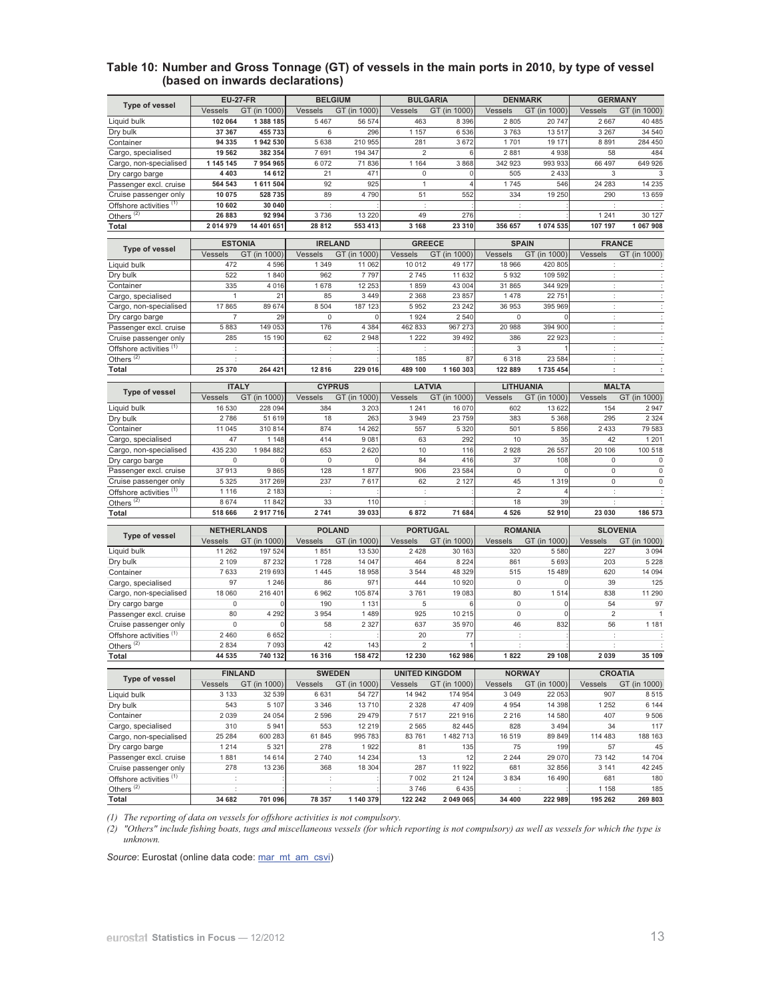#### **Table 10: Number and Gross Tonnage (GT) of vessels in the main ports in 2010, by type of vessel (based on inwards declarations)**

|                                                             | <b>EU-27-FR</b>                           |                      | <b>BELGIUM</b>                            |                    | <b>BULGARIA</b>                                  |              | <b>DENMARK</b>                           |                     | <b>GERMANY</b>                            |                      |
|-------------------------------------------------------------|-------------------------------------------|----------------------|-------------------------------------------|--------------------|--------------------------------------------------|--------------|------------------------------------------|---------------------|-------------------------------------------|----------------------|
| <b>Type of vessel</b>                                       | Vessels                                   | GT (in 1000)         | Vessels                                   | GT (in 1000)       | Vessels                                          | GT (in 1000) | Vessels                                  | GT (in 1000)        | Vessels                                   | GT (in 1000)         |
| Liquid bulk                                                 | 102 064                                   | 1 388 185            | 5 4 6 7                                   | 56 574             | 463                                              | 8 3 9 6      | 2805                                     | 20 747              | 2667                                      | 40 485               |
| Drv bulk                                                    | 37 367                                    | 455 733              | 6                                         | 296                | 1 157                                            | 6536         | 3763                                     | 13517               | 3 2 6 7                                   | 34 540               |
| Container                                                   | 94 335                                    | 1942 530             | 5 6 3 8                                   | 210 955            | 281                                              | 3672         | 1701                                     | 19 171              | 8891                                      | 284 450              |
| Cargo, specialised                                          | 19 562                                    | 382 354              | 7 691                                     | 194 347            | $\overline{2}$                                   | 6            | 2 8 8 1                                  | 4938                | 58                                        | 484                  |
| Cargo, non-specialised                                      | 1 145 145                                 | 7 954 965            | 6 0 7 2                                   | 71836              | 1 1 6 4                                          | 3868         | 342 923                                  | 993 933             | 66 497                                    | 649 926              |
| Dry cargo barge                                             | 4 4 0 3                                   | 14 6 12              | 21                                        | 47'                | $\mathbf 0$<br>$\overline{1}$                    |              | 505                                      | 2 4 3 3             | 3                                         | 3                    |
| Passenger excl. cruise                                      | 564 543<br>10 075                         | 1 611 504<br>528 735 | 92<br>89                                  | 925<br>4 790       | 51                                               | 552          | 1745<br>334                              | 546<br>19 250       | 24 28 3<br>290                            | 14 235<br>13 659     |
| Cruise passenger only                                       | 10 602                                    | 30 040               | ÷                                         |                    | $\sim$                                           |              | ÷                                        |                     | ÷                                         |                      |
| Offshore activities <sup>(1)</sup><br>Others <sup>(2)</sup> | 26 883                                    | 92 994               | 3736                                      | 13 220             | 49                                               | 276          | d                                        |                     | 1 2 4 1                                   | 30 127               |
| Total                                                       | 2 014 979                                 | 14 401 651           | 28 812                                    | 553 413            | 3 1 6 8                                          | 23 310       | 356 657                                  | 1 074 535           | 107 197                                   | 1 067 908            |
|                                                             |                                           |                      |                                           |                    |                                                  |              |                                          |                     |                                           |                      |
| <b>Type of vessel</b>                                       | <b>ESTONIA</b><br>GT (in 1000)<br>Vessels |                      | <b>IRELAND</b><br>GT (in 1000)<br>Vessels |                    | <b>GREECE</b><br>Vessels<br>GT (in 1000)         |              | <b>SPAIN</b><br>Vessels<br>GT (in 1000)  |                     | <b>FRANCE</b><br>Vessels<br>GT (in 1000)  |                      |
| Liquid bulk                                                 | 472                                       | 4596                 | 1 3 4 9                                   | 11 062             | 10 012                                           | 49 177       | 18 966                                   | 420 805             |                                           |                      |
| Dry bulk                                                    | 522                                       | 1840                 | 962                                       | 7 7 9 7            | 2745                                             | 11 632       | 5932                                     | 109 592             | ÷                                         |                      |
| Container                                                   | 335                                       | 4 0 16               | 1678                                      | 12 253             | 1859                                             | 43 004       | 31 865                                   | 344 929             | ÷                                         | ÷                    |
| Cargo, specialised                                          | $\mathbf{1}$                              | 21                   | 85                                        | 3 4 4 9            | 2 3 6 8                                          | 23 857       | 1478                                     | 22 751              | ÷                                         | ÷                    |
| Cargo, non-specialised                                      | 17865                                     | 89 674               | 8 5 0 4                                   | 187 123            | 5952                                             | 23 242       | 36 953                                   | 395 969             | ÷                                         | ÷                    |
| Dry cargo barge                                             | $\overline{7}$                            | 29                   | $\mathbf 0$                               | C                  | 1 9 2 4                                          | 2 5 4 0      | $\bf 0$                                  | $\Omega$            | ÷                                         | $\ddot{\phantom{a}}$ |
| Passenger excl. cruise                                      | 5883                                      | 149 053              | 176                                       | 4 3 8 4            | 462 833                                          | 967 273      | 20 988                                   | 394 900             | ÷                                         | ÷                    |
| Cruise passenger only                                       | 285                                       | 15 190               | 62                                        | 2948               | 1 2 2 2                                          | 39 4 9 2     | 386                                      | 22 923              | ÷                                         | $\ddot{\phantom{a}}$ |
| Offshore activities <sup>(1)</sup>                          | $\ddot{\phantom{a}}$                      |                      | $\ddot{\phantom{a}}$                      |                    | ÷                                                |              | 3                                        |                     | ÷                                         | ÷                    |
| Others <sup>(2)</sup>                                       | d                                         |                      |                                           |                    | 185                                              | 87           | 6 3 1 8                                  | 23 584              | ÷                                         |                      |
| Total                                                       | 25 370                                    | 264 421              | 12 816                                    | 229 016            | 489 100                                          | 1 160 303    | 122 889                                  | 1735454             | ÷                                         | ÷                    |
|                                                             | <b>ITALY</b>                              |                      | <b>CYPRUS</b>                             |                    | <b>LATVIA</b>                                    |              | LITHUANIA                                |                     | <b>MALTA</b>                              |                      |
| <b>Type of vessel</b>                                       | Vessels                                   | GT (in 1000)         | Vessels                                   | GT (in 1000)       | Vessels                                          | GT (in 1000) | Vessels                                  | GT (in 1000)        | Vessels                                   | GT (in 1000)         |
| Liquid bulk                                                 | 16 530                                    | 228 094              | 384                                       | 3 203              | 1 2 4 1                                          | 16 070       | 602                                      | 13 622              | 154                                       | 2947                 |
| Dry bulk                                                    | 2786                                      | 51 619               | 18                                        | 263                | 3 9 4 9                                          | 23 7 5 9     | 383                                      | 5 3 6 8             | 295                                       | 2 3 2 4              |
| Container                                                   | 11 045                                    | 310 814              | 874                                       | 14 262             | 557                                              | 5 3 2 0      | 501                                      | 5 8 5 6             | 2 4 3 3                                   | 79 583               |
| Cargo, specialised                                          | 47                                        | 1 1 4 8              | 414                                       | 9 0 8 1            | 63                                               | 292          | 10                                       | 35                  | 42                                        | 1 2 0 1              |
| Cargo, non-specialised                                      | 435 230                                   | 1984882              | 653                                       | 2 6 2 0            | 10                                               | 116          | 2928                                     | 26 557              | 20 10 6                                   | 100 518              |
| Dry cargo barge                                             | $\mathsf 0$                               | C                    | $\mathbf 0$                               | ſ                  | 84                                               | 416          | 37                                       | 108                 | $\mathbf 0$                               | $\mathbf 0$          |
| Passenger excl. cruise                                      | 37913                                     | 9865                 | 128                                       | 1877               | 906                                              | 23 5 84      | $\mathbf 0$                              | $\sqrt{ }$          | $\mathbf 0$                               | $\mathbf 0$          |
| Cruise passenger only                                       | 5 3 2 5                                   | 317 269              | 237                                       | 7617               | 62                                               | 2 1 2 7      | 45                                       | 1 3 1 9             | $\mathsf{O}\xspace$                       | 0                    |
| Offshore activities <sup>(1)</sup>                          | 1 1 1 6                                   | 2 1 8 3              | $\ddot{\phantom{a}}$                      |                    | ÷                                                |              | $\overline{2}$                           | $\overline{4}$      | ÷                                         |                      |
| Others $(2)$<br><b>Total</b>                                | 8674<br>518 666                           | 11 842<br>2917716    | 33<br>2 7 4 1                             | 110<br>39 033      | $\ddot{\phantom{a}}$<br>6872                     | 71 684       | 18<br>4526                               | 39<br>52 910        | ÷<br>23 030                               | 186 573              |
|                                                             |                                           |                      |                                           |                    |                                                  |              |                                          |                     |                                           |                      |
| <b>Type of vessel</b>                                       | <b>NETHERLANDS</b>                        |                      | <b>POLAND</b>                             |                    | <b>PORTUGAL</b>                                  |              | <b>ROMANIA</b>                           |                     | <b>SLOVENIA</b>                           |                      |
|                                                             | Vessels                                   | GT (in 1000)         | Vessels                                   | GT (in 1000)       | Vessels                                          | GT (in 1000) | Vessels                                  | GT (in 1000)        | Vessels                                   | GT (in 1000)         |
| Liquid bulk                                                 | 11 262                                    | 197 524              | 1851                                      | 13 530             | 2428                                             | 30 163       | 320                                      | 5 5 8 0             | 227                                       | 3 0 9 4              |
| Dry bulk                                                    | 2 1 0 9                                   | 87 232               | 1728                                      | 14 047             | 464                                              | 8 2 2 4      | 861                                      | 5 6 9 3             | 203                                       | 5 2 2 8              |
| Container                                                   | 7633                                      | 219 693              | 1 4 4 5                                   | 18 958             | 3544                                             | 48 329       | 515                                      | 15 489              | 620                                       | 14 094               |
| Cargo, specialised                                          | 97                                        | 1 2 4 6<br>216 401   | 86                                        | 971                | 444                                              | 10 920       | $\mathbf 0$<br>80                        | $\sqrt{ }$          | 39                                        | 125<br>11 290        |
| Cargo, non-specialised<br>Dry cargo barge                   | 18 060<br>$\mathsf 0$                     | n                    | 6962<br>190                               | 105 874<br>1 1 3 1 | 3761<br>5                                        | 19 083<br>6  | $\bf 0$                                  | 1514<br>$\mathbf 0$ | 838<br>54                                 | 97                   |
| Passenger excl. cruise                                      | 80                                        | 4 2 9 2              | 3 9 5 4                                   | 1489               | 925                                              | 10 215       | $\mathbf 0$                              | $\Omega$            | $\overline{2}$                            | $\mathbf{1}$         |
| Cruise passenger only                                       | $\mathbf 0$                               | $\Omega$             | 58                                        | 2 3 2 7            | 637                                              | 35 970       | 46                                       | 832                 | 56                                        | 1 1 8 1              |
| Offshore activities (1)                                     | 2 4 6 0                                   | 6652                 |                                           |                    | 20                                               | 77           | $\ddot{\phantom{a}}$                     |                     |                                           |                      |
| Others <sup>(2)</sup>                                       | 2 8 3 4                                   | 7 0 9 3              | 42                                        | 143                | $\overline{2}$                                   |              | $\pm$                                    |                     | ÷                                         |                      |
| Total                                                       | 44 535                                    | 740 132              | 16 316                                    | 158 472            | 12 230                                           | 162 986      | 1822                                     | 29 108              | 2 0 3 9                                   | 35 109               |
|                                                             |                                           |                      |                                           |                    |                                                  |              |                                          |                     |                                           |                      |
| Type of vessel                                              | <b>FINLAND</b><br>GT (in 1000)<br>Vessels |                      | <b>SWEDEN</b><br>GT (in 1000)<br>Vessels  |                    | <b>UNITED KINGDOM</b><br>GT (in 1000)<br>Vessels |              | <b>NORWAY</b><br>GT (in 1000)<br>Vessels |                     | <b>CROATIA</b><br>GT (in 1000)<br>Vessels |                      |
| Liquid bulk                                                 | 3 1 3 3                                   | 32 539               | 6631                                      | 54 727             | 14 942                                           | 174 954      | 3 0 4 9                                  | 22 053              | 907                                       | 8515                 |
| Dry bulk                                                    | 543                                       | 5 1 0 7              | 3 3 4 6                                   | 13710              | 2 3 2 8                                          | 47 409       | 4 9 5 4                                  | 14 398              | 1 2 5 2                                   | 6 144                |
| Container                                                   | 2 0 3 9                                   | 24 054               | 2 5 9 6                                   | 29 4 7 9           | 7517                                             | 221 916      | 2 2 1 6                                  | 14 580              | 407                                       | 9506                 |
| Cargo, specialised                                          | 310                                       | 5941                 | 553                                       | 12 219             | 2565                                             | 82 445       | 828                                      | 3 4 9 4             | 34                                        | 117                  |
| Cargo, non-specialised                                      | 25 284                                    | 600 283              | 61 845                                    | 995 783            | 83761                                            | 1 482 713    | 16 519                                   | 89 849              | 114 483                                   | 188 163              |
| Dry cargo barge                                             | 1 2 1 4                                   | 5 3 2 1              | 278                                       | 1922               | 81                                               | 135          | 75                                       | 199                 | 57                                        | 45                   |
| Passenger excl. cruise                                      | 1881                                      | 14 6 14              | 2740                                      | 14 234             | 13                                               | 12           | 2 2 4 4                                  | 29 070              | 73 142                                    | 14 704               |
| Cruise passenger only                                       | 278                                       | 13 2 36              | 368                                       | 18 304             | 287                                              | 11 922       | 681                                      | 32 856              | 3 1 4 1                                   | 42 245               |
| Offshore activities <sup>(1)</sup>                          | þ                                         |                      | ÷                                         |                    | 7 0 0 2                                          | 21 124       | 3 8 3 4                                  | 16 490              | 681                                       | 180                  |
| Others $(2)$                                                | $\ddot{\phantom{a}}$                      |                      | $\ddot{\phantom{a}}$                      |                    | 3746                                             | 6435         |                                          |                     | 1 1 5 8                                   | 185                  |
| Total                                                       | 34 682                                    | 701 096              | 78 357                                    | 1 140 379          | 122 242                                          | 2 049 065    | 34 400                                   | 222 989             | 195 262                                   | 269 803              |

*(1) The reporting of data on vessels for offshore activities is not compulsory.* 

*(2) "Others" include fishing boats, tugs and miscellaneous vessels (for which reporting is not compulsory) as well as vessels for which the type is unknown.* 

Source: Eurostat (online data code: mar\_mt\_am\_csvi)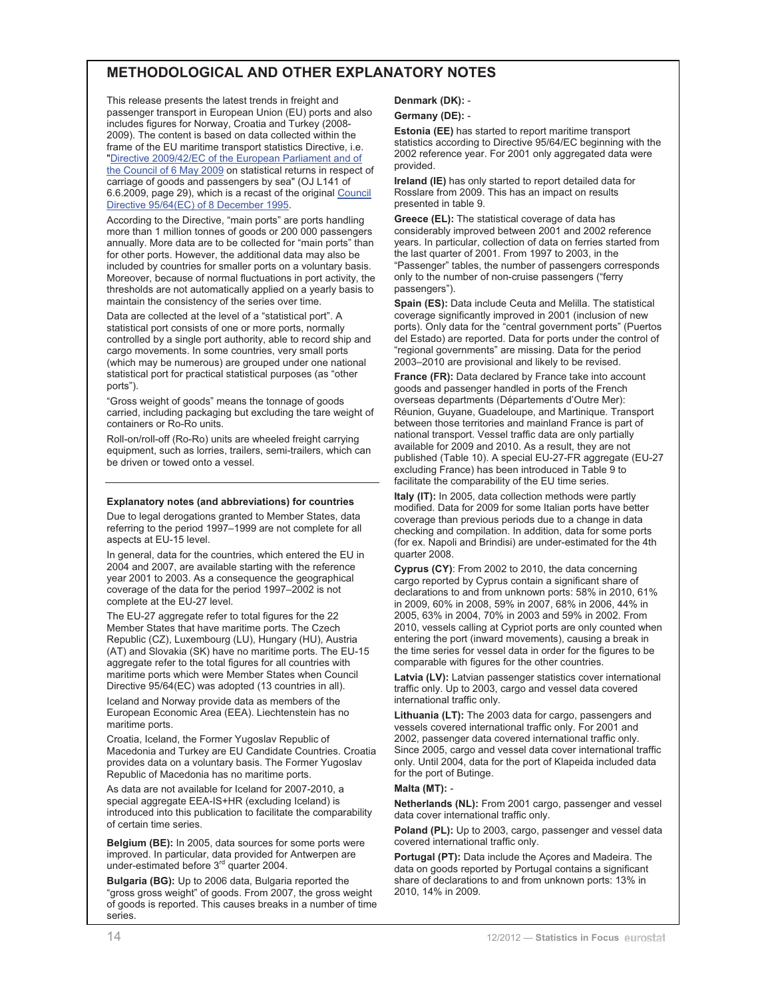## **METHODOLOGICAL AND OTHER EXPLANATORY NOTES**

This release presents the latest trends in freight and passenger transport in European Union (EU) ports and also includes figures for Norway, Croatia and Turkey (2008- 2009). The content is based on data collected within the frame of the EU maritime transport statistics Directive, i.e. "Directive 2009/42/EC of the European Parliament and of the Council of 6 May 2009 on statistical returns in respect of carriage of goods and passengers by sea" (OJ L141 of 6.6.2009, page 29), which is a recast of the original Council Directive 95/64(EC) of 8 December 1995.

According to the Directive, "main ports" are ports handling more than 1 million tonnes of goods or 200 000 passengers annually. More data are to be collected for "main ports" than for other ports. However, the additional data may also be included by countries for smaller ports on a voluntary basis. Moreover, because of normal fluctuations in port activity, the thresholds are not automatically applied on a yearly basis to maintain the consistency of the series over time.

Data are collected at the level of a "statistical port". A statistical port consists of one or more ports, normally controlled by a single port authority, able to record ship and cargo movements. In some countries, very small ports (which may be numerous) are grouped under one national statistical port for practical statistical purposes (as "other ports").

"Gross weight of goods" means the tonnage of goods carried, including packaging but excluding the tare weight of containers or Ro-Ro units.

Roll-on/roll-off (Ro-Ro) units are wheeled freight carrying equipment, such as lorries, trailers, semi-trailers, which can be driven or towed onto a vessel.

#### **Explanatory notes (and abbreviations) for countries**

Due to legal derogations granted to Member States, data referring to the period 1997–1999 are not complete for all aspects at EU-15 level.

In general, data for the countries, which entered the EU in 2004 and 2007, are available starting with the reference year 2001 to 2003. As a consequence the geographical coverage of the data for the period 1997–2002 is not complete at the EU-27 level.

The EU-27 aggregate refer to total figures for the 22 Member States that have maritime ports. The Czech Republic (CZ), Luxembourg (LU), Hungary (HU), Austria (AT) and Slovakia (SK) have no maritime ports. The EU-15 aggregate refer to the total figures for all countries with maritime ports which were Member States when Council Directive 95/64(EC) was adopted (13 countries in all).

Iceland and Norway provide data as members of the European Economic Area (EEA). Liechtenstein has no maritime ports.

Croatia, Iceland, the Former Yugoslav Republic of Macedonia and Turkey are EU Candidate Countries. Croatia provides data on a voluntary basis. The Former Yugoslav Republic of Macedonia has no maritime ports.

As data are not available for Iceland for 2007-2010, a special aggregate EEA-IS+HR (excluding Iceland) is introduced into this publication to facilitate the comparability of certain time series.

**Belgium (BE):** In 2005, data sources for some ports were improved. In particular, data provided for Antwerpen are under-estimated before 3rd quarter 2004.

**Bulgaria (BG):** Up to 2006 data, Bulgaria reported the "gross gross weight" of goods. From 2007, the gross weight of goods is reported. This causes breaks in a number of time series.

#### **Denmark (DK):** -

#### **Germany (DE):** -

**Estonia (EE)** has started to report maritime transport statistics according to Directive 95/64/EC beginning with the 2002 reference year. For 2001 only aggregated data were provided.

**Ireland (IE)** has only started to report detailed data for Rosslare from 2009. This has an impact on results presented in table 9.

**Greece (EL):** The statistical coverage of data has considerably improved between 2001 and 2002 reference years. In particular, collection of data on ferries started from the last quarter of 2001. From 1997 to 2003, in the "Passenger" tables, the number of passengers corresponds only to the number of non-cruise passengers ("ferry passengers").

**Spain (ES):** Data include Ceuta and Melilla. The statistical coverage significantly improved in 2001 (inclusion of new ports). Only data for the "central government ports" (Puertos del Estado) are reported. Data for ports under the control of "regional governments" are missing. Data for the period 2003–2010 are provisional and likely to be revised.

**France (FR):** Data declared by France take into account goods and passenger handled in ports of the French overseas departments (Départements d'Outre Mer): Réunion, Guyane, Guadeloupe, and Martinique. Transport between those territories and mainland France is part of national transport. Vessel traffic data are only partially available for 2009 and 2010. As a result, they are not published (Table 10). A special EU-27-FR aggregate (EU-27 excluding France) has been introduced in Table 9 to facilitate the comparability of the EU time series.

**Italy (IT):** In 2005, data collection methods were partly modified. Data for 2009 for some Italian ports have better coverage than previous periods due to a change in data checking and compilation. In addition, data for some ports (for ex. Napoli and Brindisi) are under-estimated for the 4th quarter 2008.

**Cyprus (CY)**: From 2002 to 2010, the data concerning cargo reported by Cyprus contain a significant share of declarations to and from unknown ports: 58% in 2010, 61% in 2009, 60% in 2008, 59% in 2007, 68% in 2006, 44% in 2005, 63% in 2004, 70% in 2003 and 59% in 2002. From 2010, vessels calling at Cypriot ports are only counted when entering the port (inward movements), causing a break in the time series for vessel data in order for the figures to be comparable with figures for the other countries.

**Latvia (LV):** Latvian passenger statistics cover international traffic only. Up to 2003, cargo and vessel data covered international traffic only.

**Lithuania (LT):** The 2003 data for cargo, passengers and vessels covered international traffic only. For 2001 and 2002, passenger data covered international traffic only. Since 2005, cargo and vessel data cover international traffic only. Until 2004, data for the port of Klapeida included data for the port of Butinge.

#### **Malta (MT):** -

**Netherlands (NL):** From 2001 cargo, passenger and vessel data cover international traffic only.

Poland (PL): Up to 2003, cargo, passenger and vessel data covered international traffic only.

**Portugal (PT):** Data include the Açores and Madeira. The data on goods reported by Portugal contains a significant share of declarations to and from unknown ports: 13% in 2010, 14% in 2009.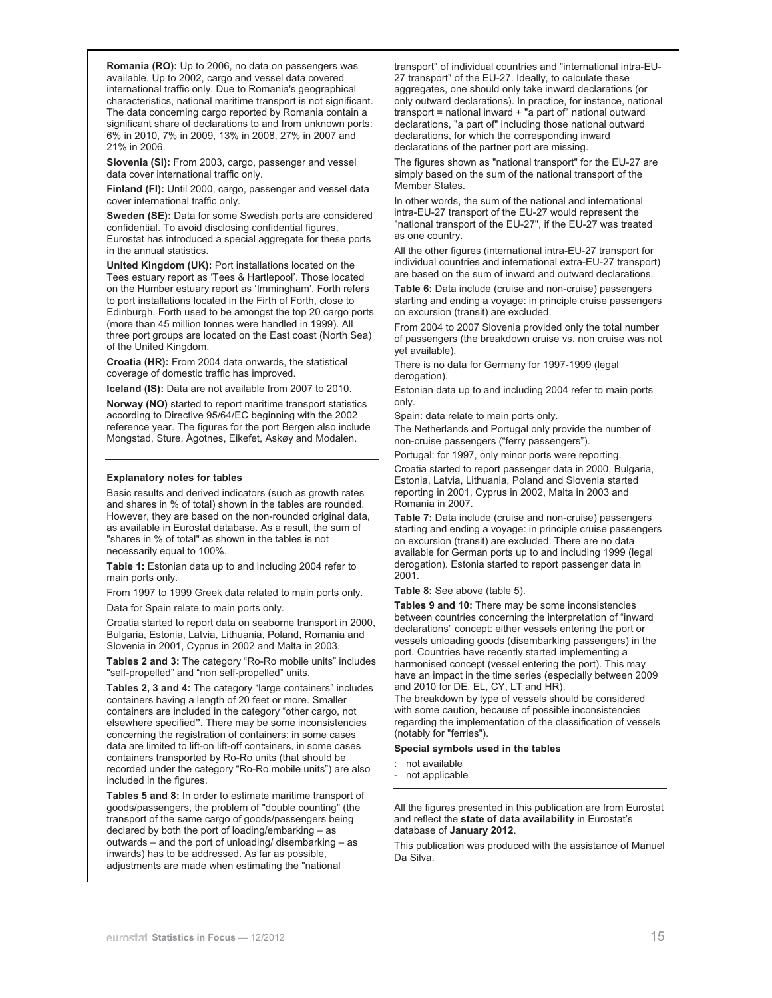**Romania (RO):** Up to 2006, no data on passengers was available. Up to 2002, cargo and vessel data covered international traffic only. Due to Romania's geographical characteristics, national maritime transport is not significant. The data concerning cargo reported by Romania contain a significant share of declarations to and from unknown ports: 6% in 2010, 7% in 2009, 13% in 2008, 27% in 2007 and 21% in 2006.

**Slovenia (SI):** From 2003, cargo, passenger and vessel data cover international traffic only.

**Finland (FI):** Until 2000, cargo, passenger and vessel data cover international traffic only.

**Sweden (SE):** Data for some Swedish ports are considered confidential. To avoid disclosing confidential figures, Eurostat has introduced a special aggregate for these ports in the annual statistics.

**United Kingdom (UK):** Port installations located on the Tees estuary report as 'Tees & Hartlepool'. Those located on the Humber estuary report as 'Immingham'. Forth refers to port installations located in the Firth of Forth, close to Edinburgh. Forth used to be amongst the top 20 cargo ports (more than 45 million tonnes were handled in 1999). All three port groups are located on the East coast (North Sea) of the United Kingdom.

**Croatia (HR):** From 2004 data onwards, the statistical coverage of domestic traffic has improved.

**Iceland (IS):** Data are not available from 2007 to 2010.

**Norway (NO)** started to report maritime transport statistics according to Directive 95/64/EC beginning with the 2002 reference year. The figures for the port Bergen also include Mongstad, Sture, Ågotnes, Eikefet, Askøy and Modalen.

#### **Explanatory notes for tables**

Basic results and derived indicators (such as growth rates and shares in % of total) shown in the tables are rounded. However, they are based on the non-rounded original data, as available in Eurostat database. As a result, the sum of "shares in % of total" as shown in the tables is not necessarily equal to 100%.

**Table 1:** Estonian data up to and including 2004 refer to main ports only.

From 1997 to 1999 Greek data related to main ports only.

Data for Spain relate to main ports only.

Croatia started to report data on seaborne transport in 2000, Bulgaria, Estonia, Latvia, Lithuania, Poland, Romania and Slovenia in 2001, Cyprus in 2002 and Malta in 2003.

**Tables 2 and 3:** The category "Ro-Ro mobile units" includes "self-propelled" and "non self-propelled" units.

**Tables 2, 3 and 4:** The category "large containers" includes containers having a length of 20 feet or more. Smaller containers are included in the category "other cargo, not elsewhere specified**".** There may be some inconsistencies concerning the registration of containers: in some cases data are limited to lift-on lift-off containers, in some cases containers transported by Ro-Ro units (that should be recorded under the category "Ro-Ro mobile units") are also included in the figures.

**Tables 5 and 8:** In order to estimate maritime transport of goods/passengers, the problem of "double counting" (the transport of the same cargo of goods/passengers being declared by both the port of loading/embarking – as outwards – and the port of unloading/ disembarking – as inwards) has to be addressed. As far as possible, adjustments are made when estimating the "national

transport" of individual countries and "international intra-EU-27 transport" of the EU-27. Ideally, to calculate these aggregates, one should only take inward declarations (or only outward declarations). In practice, for instance, national transport = national inward + "a part of" national outward declarations, "a part of" including those national outward declarations, for which the corresponding inward declarations of the partner port are missing.

The figures shown as "national transport" for the EU-27 are simply based on the sum of the national transport of the Member States.

In other words, the sum of the national and international intra-EU-27 transport of the EU-27 would represent the "national transport of the EU-27", if the EU-27 was treated as one country.

All the other figures (international intra-EU-27 transport for individual countries and international extra-EU-27 transport) are based on the sum of inward and outward declarations.

**Table 6:** Data include (cruise and non-cruise) passengers starting and ending a voyage: in principle cruise passengers on excursion (transit) are excluded.

From 2004 to 2007 Slovenia provided only the total number of passengers (the breakdown cruise vs. non cruise was not yet available).

There is no data for Germany for 1997-1999 (legal derogation).

Estonian data up to and including 2004 refer to main ports only.

Spain: data relate to main ports only.

The Netherlands and Portugal only provide the number of non-cruise passengers ("ferry passengers").

Portugal: for 1997, only minor ports were reporting.

Croatia started to report passenger data in 2000, Bulgaria, Estonia, Latvia, Lithuania, Poland and Slovenia started reporting in 2001, Cyprus in 2002, Malta in 2003 and Romania in 2007.

**Table 7:** Data include (cruise and non-cruise) passengers starting and ending a voyage: in principle cruise passengers on excursion (transit) are excluded. There are no data available for German ports up to and including 1999 (legal derogation). Estonia started to report passenger data in 2001.

**Table 8:** See above (table 5).

**Tables 9 and 10:** There may be some inconsistencies between countries concerning the interpretation of "inward declarations" concept: either vessels entering the port or vessels unloading goods (disembarking passengers) in the port. Countries have recently started implementing a harmonised concept (vessel entering the port). This may have an impact in the time series (especially between 2009 and 2010 for DE, EL, CY, LT and HR).

The breakdown by type of vessels should be considered with some caution, because of possible inconsistencies regarding the implementation of the classification of vessels (notably for "ferries").

#### **Special symbols used in the tables**

: not available

- not applicable

All the figures presented in this publication are from Eurostat and reflect the **state of data availability** in Eurostat's database of **January 2012**.

This publication was produced with the assistance of Manuel Da Silva.